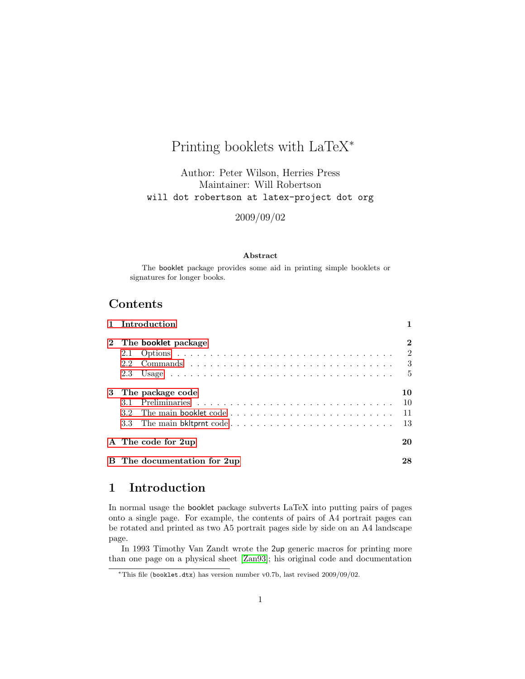# Printing booklets with LaTeX<sup>∗</sup>

Author: Peter Wilson, Herries Press Maintainer: Will Robertson will dot robertson at latex-project dot org

2009/09/02

#### Abstract

The booklet package provides some aid in printing simple booklets or signatures for longer books.

## Contents

|   |               | 1 Introduction              |                |
|---|---------------|-----------------------------|----------------|
|   |               | 2 The booklet package       | $\bf{2}$       |
|   | 2.1           |                             | $\overline{2}$ |
|   | $2.2^{\circ}$ |                             | 3              |
|   | 2.3           |                             | -5             |
| 3 |               | The package code            | 10             |
|   | 3.1           |                             | 10             |
|   | 3.2           |                             | 11             |
|   | 3.3           |                             | 13             |
|   |               | A The code for 2up          | 20             |
|   |               | B The documentation for 2up | 28             |

## <span id="page-0-0"></span>1 Introduction

In normal usage the booklet package subverts LaTeX into putting pairs of pages onto a single page. For example, the contents of pairs of A4 portrait pages can be rotated and printed as two A5 portrait pages side by side on an A4 landscape page.

In 1993 Timothy Van Zandt wrote the 2up generic macros for printing more than one page on a physical sheet [\[Zan93\]](#page-39-0); his original code and documentation

<sup>∗</sup>This file (booklet.dtx) has version number v0.7b, last revised 2009/09/02.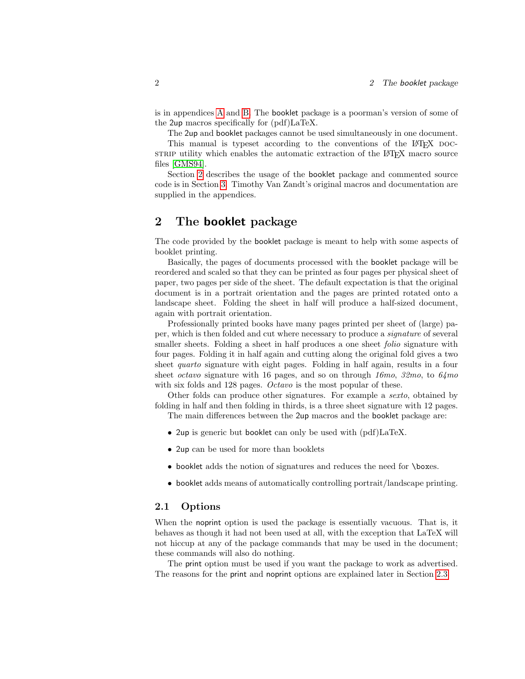is in appendices [A](#page-19-0) and [B.](#page-27-0) The booklet package is a poorman's version of some of the 2up macros specifically for (pdf)LaTeX.

The 2up and booklet packages cannot be used simultaneously in one document.

This manual is typeset according to the conventions of the LAT<sub>EX</sub> pocstrip utility which enables the automatic extraction of the LAT<sub>EX</sub> macro source files [\[GMS94\]](#page-39-1).

Section [2](#page-1-0) describes the usage of the booklet package and commented source code is in Section [3.](#page-9-0) Timothy Van Zandt's original macros and documentation are supplied in the appendices.

## <span id="page-1-0"></span>2 The booklet package

The code provided by the booklet package is meant to help with some aspects of booklet printing.

Basically, the pages of documents processed with the booklet package will be reordered and scaled so that they can be printed as four pages per physical sheet of paper, two pages per side of the sheet. The default expectation is that the original document is in a portrait orientation and the pages are printed rotated onto a landscape sheet. Folding the sheet in half will produce a half-sized document, again with portrait orientation.

Professionally printed books have many pages printed per sheet of (large) paper, which is then folded and cut where necessary to produce a signature of several smaller sheets. Folding a sheet in half produces a one sheet *folio* signature with four pages. Folding it in half again and cutting along the original fold gives a two sheet quarto signature with eight pages. Folding in half again, results in a four sheet *octavo* signature with 16 pages, and so on through 16mo, 32mo, to  $64 \text{mo}$ with six folds and 128 pages. *Octavo* is the most popular of these.

Other folds can produce other signatures. For example a sexto, obtained by folding in half and then folding in thirds, is a three sheet signature with 12 pages. The main differences between the 2up macros and the booklet package are:

- 2up is generic but booklet can only be used with  $(pdf)LaTeX$ .
- 2up can be used for more than booklets
- booklet adds the notion of signatures and reduces the need for \boxes.
- booklet adds means of automatically controlling portrait/landscape printing.

### <span id="page-1-1"></span>2.1 Options

When the noprint option is used the package is essentially vacuous. That is, it behaves as though it had not been used at all, with the exception that LaTeX will not hiccup at any of the package commands that may be used in the document; these commands will also do nothing.

The print option must be used if you want the package to work as advertised. The reasons for the print and noprint options are explained later in Section [2.3.](#page-4-0)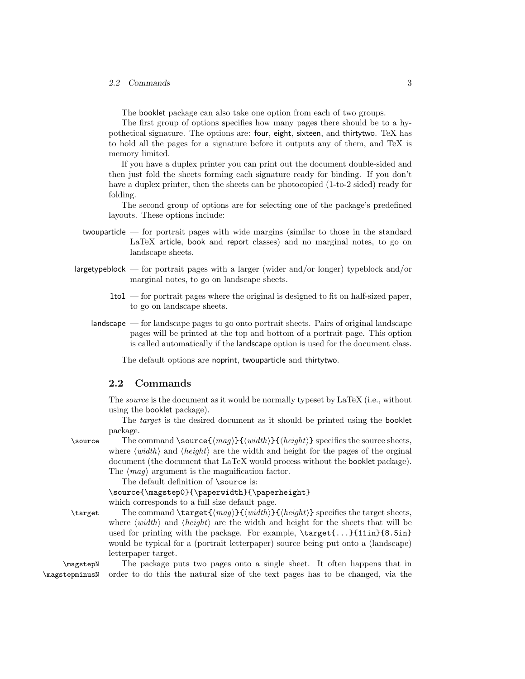The booklet package can also take one option from each of two groups.

The first group of options specifies how many pages there should be to a hypothetical signature. The options are: four, eight, sixteen, and thirtytwo. TeX has to hold all the pages for a signature before it outputs any of them, and TeX is memory limited.

If you have a duplex printer you can print out the document double-sided and then just fold the sheets forming each signature ready for binding. If you don't have a duplex printer, then the sheets can be photocopied  $(1-to-2$  sided) ready for folding.

The second group of options are for selecting one of the package's predefined layouts. These options include:

- twouparticle for portrait pages with wide margins (similar to those in the standard LaTeX article, book and report classes) and no marginal notes, to go on landscape sheets.
- largetypeblock for portrait pages with a larger (wider and/or longer) typeblock and/or marginal notes, to go on landscape sheets.
	- 1to1 for portrait pages where the original is designed to fit on half-sized paper, to go on landscape sheets.
	- landscape for landscape pages to go onto portrait sheets. Pairs of original landscape pages will be printed at the top and bottom of a portrait page. This option is called automatically if the landscape option is used for the document class.

The default options are noprint, twouparticle and thirtytwo.

### <span id="page-2-0"></span>2.2 Commands

The source is the document as it would be normally typeset by LaTeX (i.e., without using the booklet package).

The *target* is the desired document as it should be printed using the booklet package.

\source The command \source  $\{ \langle m a g \rangle \} \{ \langle w i d t h \rangle \}$  specifies the source sheets, where  $\langle width \rangle$  and  $\langle height \rangle$  are the width and height for the pages of the orginal document (the document that LaTeX would process without the booklet package). The  $\langle mag \rangle$  argument is the magnification factor.

The default definition of \source is:

\source{\magstep0}{\paperwidth}{\paperheight} which corresponds to a full size default page.

\target The command \target{ $\langle mag \rangle$ }{ $\langle width \rangle$ }{height} specifies the target sheets, where  $\langle width \rangle$  and  $\langle height \rangle$  are the width and height for the sheets that will be used for printing with the package. For example,  $\tt target{...}{11in}{8.5in}$ would be typical for a (portrait letterpaper) source being put onto a (landscape) letterpaper target.

\magstepN The package puts two pages onto a single sheet. It often happens that in \magstepminusN order to do this the natural size of the text pages has to be changed, via the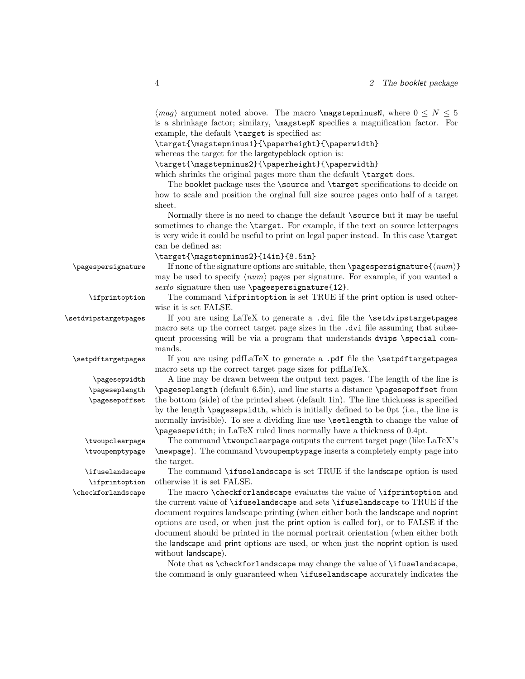$\langle mag \rangle$  argument noted above. The macro \magstepminusN, where  $0 \leq N \leq 5$ is a shrinkage factor; similary, \magstepN specifies a magnification factor. For example, the default \target is specified as:

\target{\magstepminus1}{\paperheight}{\paperwidth}

whereas the target for the largetypeblock option is:

\target{\magstepminus2}{\paperheight}{\paperwidth}

which shrinks the original pages more than the default **\target** does.

The booklet package uses the \source and \target specifications to decide on how to scale and position the orginal full size source pages onto half of a target sheet.

Normally there is no need to change the default \source but it may be useful sometimes to change the \target. For example, if the text on source letterpages is very wide it could be useful to print on legal paper instead. In this case \target can be defined as:

\target{\magstepminus2}{14in}{8.5in}

 $\text{pagespersignature}$  If none of the signature options are suitable, then  $\text{pagespersignature}$ { $\langle num \rangle$ } may be used to specify  $\langle num \rangle$  pages per signature. For example, if you wanted a sexto signature then use \pagespersignature{12}.

\ifprintoption The command \ifprintoption is set TRUE if the print option is used otherwise it is set FALSE.

\setdvipstargetpages If you are using LaTeX to generate a .dvi file the \setdvipstargetpages macro sets up the correct target page sizes in the .dvi file assuming that subsequent processing will be via a program that understands dvips \special commands.

\setpdftargetpages If you are using pdfLaTeX to generate a .pdf file the \setpdftargetpages macro sets up the correct target page sizes for pdfLaTeX.

\pagesepwidth A line may be drawn between the output text pages. The length of the line is \pageseplength (default 6.5in), and line starts a distance \pagesepoffset from the bottom (side) of the printed sheet (default 1in). The line thickness is specified by the length \pagesepwidth, which is initially defined to be 0pt (i.e., the line is normally invisible). To see a dividing line use \setlength to change the value of \pagesepwidth; in LaTeX ruled lines normally have a thickness of 0.4pt.

\twoupclearpage The command \twoupclearpage outputs the current target page (like LaTeX's \twoupemptypage \newpage). The command \twoupemptypage inserts a completely empty page into the target.

\ifuselandscape The command \ifuselandscape is set TRUE if the landscape option is used \ifprintoption otherwise it is set FALSE.

\checkforlandscape The macro \checkforlandscape evaluates the value of \ifprintoption and the current value of \ifuselandscape and sets \ifuselandscape to TRUE if the document requires landscape printing (when either both the landscape and noprint options are used, or when just the print option is called for), or to FALSE if the document should be printed in the normal portrait orientation (when either both the landscape and print options are used, or when just the noprint option is used without landscape).

> Note that as \checkforlandscape may change the value of \ifuselandscape, the command is only guaranteed when \ifuselandscape accurately indicates the

\pageseplength \pagesepoffset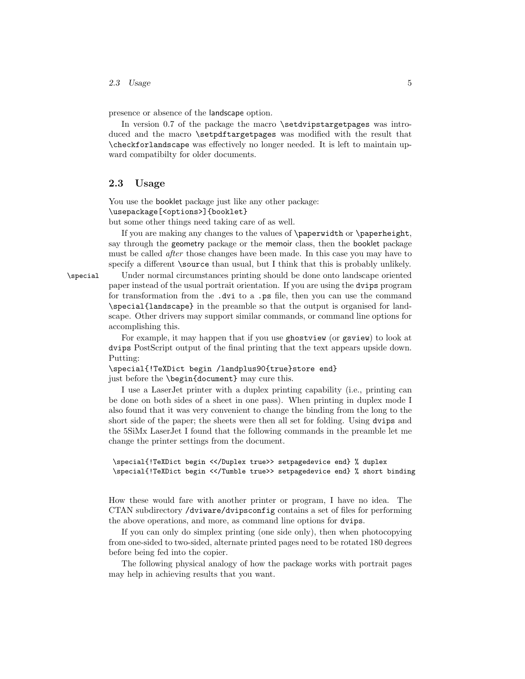2.3 Usage  $5$ 

presence or absence of the landscape option.

In version 0.7 of the package the macro \setdvipstargetpages was introduced and the macro \setpdftargetpages was modified with the result that \checkforlandscape was effectively no longer needed. It is left to maintain upward compatibilty for older documents.

### <span id="page-4-0"></span>2.3 Usage

You use the booklet package just like any other package: \usepackage[<options>]{booklet}

but some other things need taking care of as well.

If you are making any changes to the values of \paperwidth or \paperheight, say through the geometry package or the memoir class, then the booklet package must be called after those changes have been made. In this case you may have to specify a different **\source** than usual, but I think that this is probably unlikely.

\special Under normal circumstances printing should be done onto landscape oriented paper instead of the usual portrait orientation. If you are using the dvips program for transformation from the .dvi to a .ps file, then you can use the command \special{landscape} in the preamble so that the output is organised for landscape. Other drivers may support similar commands, or command line options for accomplishing this.

> For example, it may happen that if you use ghostview (or gsview) to look at dvips PostScript output of the final printing that the text appears upside down. Putting:

\special{!TeXDict begin /landplus90{true}store end} just before the \begin{document} may cure this.

I use a LaserJet printer with a duplex printing capability (i.e., printing can be done on both sides of a sheet in one pass). When printing in duplex mode I also found that it was very convenient to change the binding from the long to the short side of the paper; the sheets were then all set for folding. Using dvips and the 5SiMx LaserJet I found that the following commands in the preamble let me change the printer settings from the document.

```
\special{!TeXDict begin <</Duplex true>> setpagedevice end} % duplex
\special{!TeXDict begin <</Tumble true>> setpagedevice end} % short binding
```
How these would fare with another printer or program, I have no idea. The CTAN subdirectory /dviware/dvipsconfig contains a set of files for performing the above operations, and more, as command line options for dvips.

If you can only do simplex printing (one side only), then when photocopying from one-sided to two-sided, alternate printed pages need to be rotated 180 degrees before being fed into the copier.

The following physical analogy of how the package works with portrait pages may help in achieving results that you want.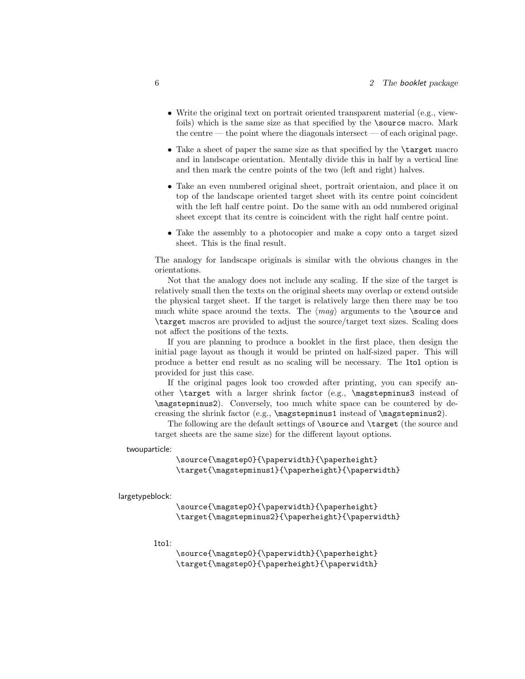- Write the original text on portrait oriented transparent material (e.g., viewfoils) which is the same size as that specified by the \source macro. Mark the centre — the point where the diagonals intersect — of each original page.
- Take a sheet of paper the same size as that specified by the \target macro and in landscape orientation. Mentally divide this in half by a vertical line and then mark the centre points of the two (left and right) halves.
- Take an even numbered original sheet, portrait orientaion, and place it on top of the landscape oriented target sheet with its centre point coincident with the left half centre point. Do the same with an odd numbered original sheet except that its centre is coincident with the right half centre point.
- Take the assembly to a photocopier and make a copy onto a target sized sheet. This is the final result.

The analogy for landscape originals is similar with the obvious changes in the orientations.

Not that the analogy does not include any scaling. If the size of the target is relatively small then the texts on the original sheets may overlap or extend outside the physical target sheet. If the target is relatively large then there may be too much white space around the texts. The  $\langle mag \rangle$  arguments to the **\source** and \target macros are provided to adjust the source/target text sizes. Scaling does not affect the positions of the texts.

If you are planning to produce a booklet in the first place, then design the initial page layout as though it would be printed on half-sized paper. This will produce a better end result as no scaling will be necessary. The 1to1 option is provided for just this case.

If the original pages look too crowded after printing, you can specify another \target with a larger shrink factor (e.g., \magstepminus3 instead of \magstepminus2). Conversely, too much white space can be countered by decreasing the shrink factor (e.g., \magstepminus1 instead of \magstepminus2).

The following are the default settings of \source and \target (the source and target sheets are the same size) for the different layout options.

twouparticle:

\source{\magstep0}{\paperwidth}{\paperheight} \target{\magstepminus1}{\paperheight}{\paperwidth}

largetypeblock:

\source{\magstep0}{\paperwidth}{\paperheight} \target{\magstepminus2}{\paperheight}{\paperwidth}

1to1:

\source{\magstep0}{\paperwidth}{\paperheight} \target{\magstep0}{\paperheight}{\paperwidth}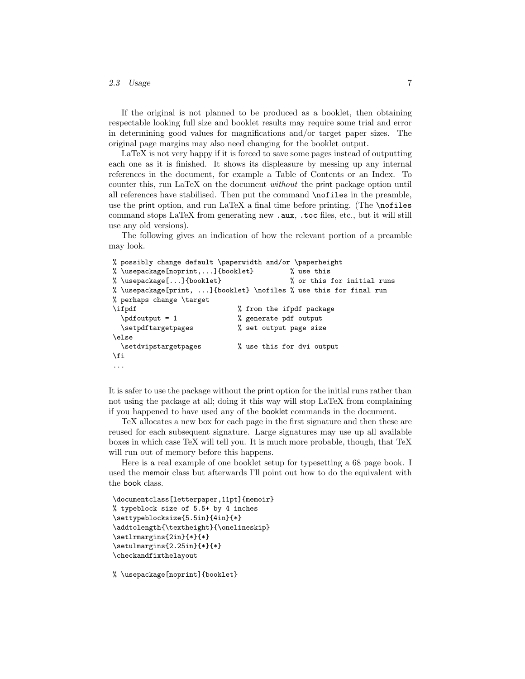### 2.3 Usage 7

If the original is not planned to be produced as a booklet, then obtaining respectable looking full size and booklet results may require some trial and error in determining good values for magnifications and/or target paper sizes. The original page margins may also need changing for the booklet output.

LaTeX is not very happy if it is forced to save some pages instead of outputting each one as it is finished. It shows its displeasure by messing up any internal references in the document, for example a Table of Contents or an Index. To counter this, run LaTeX on the document without the print package option until all references have stabilised. Then put the command \nofiles in the preamble, use the print option, and run  $LaTeX\$ a final time before printing. (The  $\n$ nofiles command stops LaTeX from generating new .aux, .toc files, etc., but it will still use any old versions).

The following gives an indication of how the relevant portion of a preamble may look.

```
% possibly change default \paperwidth and/or \paperheight
% \usepackage[noprint,...]{booklet} % use this
% \usepackage[...]{booklet} % or this for initial runs
% \usepackage[print, ...]{booklet} \nofiles % use this for final run
% perhaps change \target
\ifpdf \% from the ifpdf package
 \pdfoutput = 1 % generate pdf output
 \setpdftargetpages % set output page size
\else
 \setdvipstargetpages % use this for dvi output
\fi
...
```
It is safer to use the package without the print option for the initial runs rather than not using the package at all; doing it this way will stop LaTeX from complaining if you happened to have used any of the booklet commands in the document.

TeX allocates a new box for each page in the first signature and then these are reused for each subsequent signature. Large signatures may use up all available boxes in which case TeX will tell you. It is much more probable, though, that TeX will run out of memory before this happens.

Here is a real example of one booklet setup for typesetting a 68 page book. I used the memoir class but afterwards I'll point out how to do the equivalent with the book class.

```
\documentclass[letterpaper,11pt]{memoir}
% typeblock size of 5.5+ by 4 inches
\settypeblocksize{5.5in}{4in}{*}
\addtolength{\textheight}{\onelineskip}
\setlrmargins{2in}{*}{*}
\setulmargins{2.25in}{*}{*}
\checkandfixthelayout
```
% \usepackage[noprint]{booklet}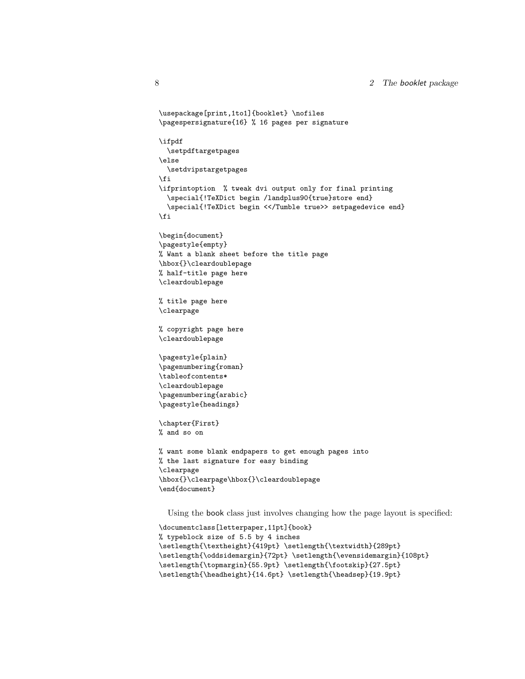```
\usepackage[print,1to1]{booklet} \nofiles
\pagespersignature{16} % 16 pages per signature
\ifpdf
  \setpdftargetpages
\else
  \setdvipstargetpages
\fi
\ifprintoption % tweak dvi output only for final printing
  \special{!TeXDict begin /landplus90{true}store end}
  \special{!TeXDict begin <</Tumble true>> setpagedevice end}
\fi
\begin{document}
\pagestyle{empty}
% Want a blank sheet before the title page
\hbox{}\cleardoublepage
% half-title page here
\cleardoublepage
% title page here
\clearpage
% copyright page here
\cleardoublepage
\pagestyle{plain}
\pagenumbering{roman}
\tableofcontents*
\cleardoublepage
\pagenumbering{arabic}
\pagestyle{headings}
\chapter{First}
% and so on
% want some blank endpapers to get enough pages into
% the last signature for easy binding
\clearpage
\hbox{}\clearpage\hbox{}\cleardoublepage
\end{document}
```
Using the book class just involves changing how the page layout is specified:

```
\documentclass[letterpaper,11pt]{book}
% typeblock size of 5.5 by 4 inches
\setlength{\textheight}{419pt} \setlength{\textwidth}{289pt}
\setlength{\oddsidemargin}{72pt} \setlength{\evensidemargin}{108pt}
\setlength{\topmargin}{55.9pt} \setlength{\footskip}{27.5pt}
\setlength{\headheight}{14.6pt} \setlength{\headsep}{19.9pt}
```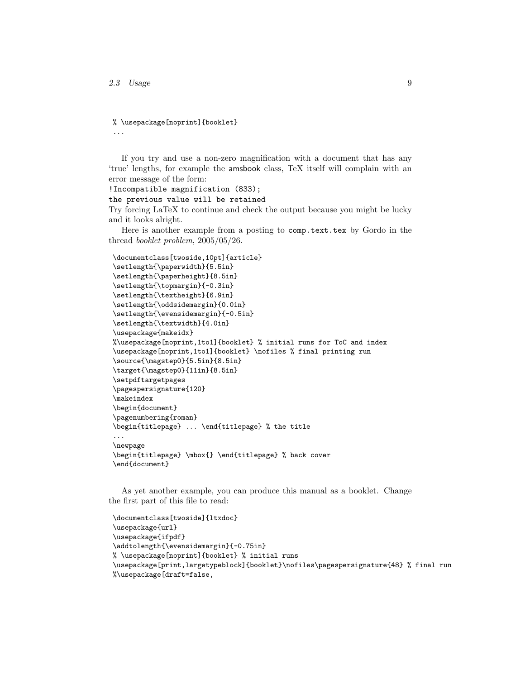...

% \usepackage[noprint]{booklet}

If you try and use a non-zero magnification with a document that has any 'true' lengths, for example the amsbook class, TeX itself will complain with an error message of the form:

```
!Incompatible magnification (833);
```

```
the previous value will be retained
```
Try forcing LaTeX to continue and check the output because you might be lucky and it looks alright.

Here is another example from a posting to comp.text.tex by Gordo in the thread booklet problem, 2005/05/26.

```
\documentclass[twoside,10pt]{article}
\setlength{\paperwidth}{5.5in}
\setlength{\paperheight}{8.5in}
\setlength{\topmargin}{-0.3in}
\setlength{\textheight}{6.9in}
\setlength{\oddsidemargin}{0.0in}
\setlength{\evensidemargin}{-0.5in}
\setlength{\textwidth}{4.0in}
\usepackage{makeidx}
%\usepackage[noprint,1to1]{booklet} % initial runs for ToC and index
\usepackage[noprint,1to1]{booklet} \nofiles % final printing run
\source{\magstep0}{5.5in}{8.5in}
\target{\magstep0}{11in}{8.5in}
\setpdftargetpages
\pagespersignature{120}
\makeindex
\begin{document}
\pagenumbering{roman}
\begin{titlepage} ... \end{titlepage} % the title
...
\newpage
\begin{titlepage} \mbox{} \end{titlepage} % back cover
\end{document}
```
As yet another example, you can produce this manual as a booklet. Change the first part of this file to read:

```
\documentclass[twoside]{ltxdoc}
\usepackage{url}
\usepackage{ifpdf}
\addtolength{\evensidemargin}{-0.75in}
% \usepackage[noprint]{booklet} % initial runs
\usepackage[print,largetypeblock]{booklet}\nofiles\pagespersignature{48} % final run
%\usepackage[draft=false,
```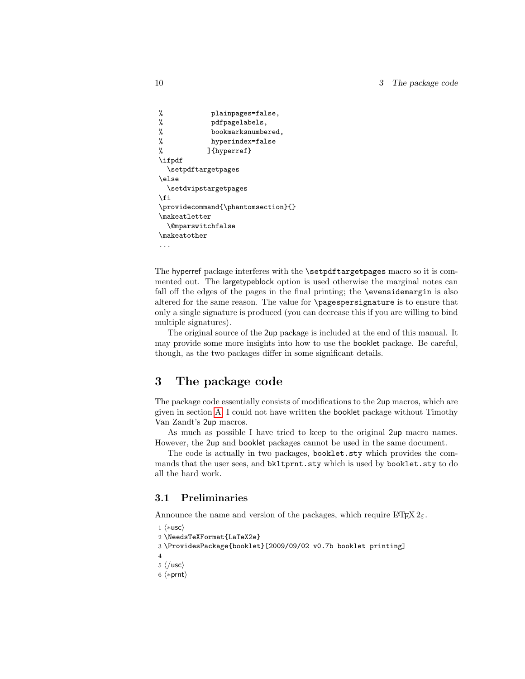```
% plainpages=false,
% pdfpagelabels,
% bookmarksnumbered,
% hyperindex=false
% ]{hyperref}
\ifpdf
 \setpdftargetpages
\else
 \setdvipstargetpages
\fi
\providecommand{\phantomsection}{}
\makeatletter
 \@mparswitchfalse
\makeatother
...
```
The hyperref package interferes with the \setpdftargetpages macro so it is commented out. The largetypeblock option is used otherwise the marginal notes can fall off the edges of the pages in the final printing; the \evensidemargin is also altered for the same reason. The value for \pagespersignature is to ensure that only a single signature is produced (you can decrease this if you are willing to bind multiple signatures).

The original source of the 2up package is included at the end of this manual. It may provide some more insights into how to use the booklet package. Be careful, though, as the two packages differ in some significant details.

## <span id="page-9-0"></span>3 The package code

The package code essentially consists of modifications to the 2up macros, which are given in section [A.](#page-19-0) I could not have written the booklet package without Timothy Van Zandt's 2up macros.

As much as possible I have tried to keep to the original 2up macro names. However, the 2up and booklet packages cannot be used in the same document.

The code is actually in two packages, booklet.sty which provides the commands that the user sees, and bkltprnt.sty which is used by booklet.sty to do all the hard work.

### <span id="page-9-1"></span>3.1 Preliminaries

Announce the name and version of the packages, which require  $\text{LATEX } 2_{\varepsilon}$ .

```
1 \langle *usc \rangle
```

```
2 \NeedsTeXFormat{LaTeX2e}
```

```
3 \ProvidesPackage{booklet}[2009/09/02 v0.7b booklet printing]
```

```
4
```

```
5 \langle/usc\rangle
```

```
6 \langle *prnt \rangle
```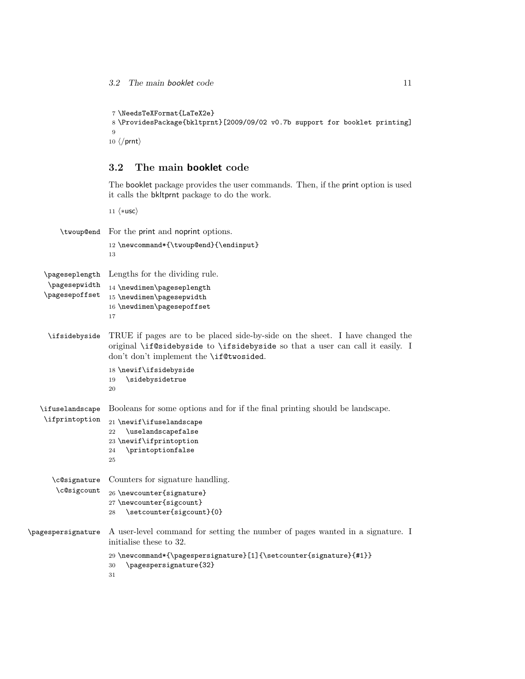```
7 \NeedsTeXFormat{LaTeX2e}
 8 \ProvidesPackage{bkltprnt}[2009/09/02 v0.7b support for booklet printing]
9
10 \langle/prnt\rangle
```
### <span id="page-10-0"></span>3.2 The main booklet code

The booklet package provides the user commands. Then, if the print option is used it calls the bkltprnt package to do the work.

```
11 \langle \ast \textsf{usc} \rangle\twoup@end For the print and noprint options.
                     12 \newcommand*{\twoup@end}{\endinput}
                     13
    \pageseplength
Lengths for the dividing rule.
     \pagesepwidth
    \pagesepoffset
                     14 \newdimen\pageseplength
                     15 \newdimen\pagesepwidth
                     16 \newdimen\pagesepoffset
                     17
     \ifsidebyside TRUE if pages are to be placed side-by-side on the sheet. I have changed the
                     original \if@sidebyside to \ifsidebyside so that a user can call it easily. I
                     don't don't implement the \if@twosided.
                     18 \newif\ifsidebyside
                     19 \sidebysidetrue
                     20
   \ifuselandscape
    \ifprintoption
                    Booleans for some options and for if the final printing should be landscape.
                     21 \newif\ifuselandscape
                     22 \uselandscapefalse
                     23 \newif\ifprintoption
                     24 \printoptionfalse
                     25
      \c@signature
       \c@sigcount
                     Counters for signature handling.
                     26 \newcounter{signature}
                     27 \newcounter{sigcount}
                     28 \setcounter{sigcount}{0}
\pagespersignature A user-level command for setting the number of pages wanted in a signature. I
                     initialise these to 32.
                     29 \newcommand*{\pagespersignature}[1]{\setcounter{signature}{#1}}
                     30 \pagespersignature{32}
                     31
```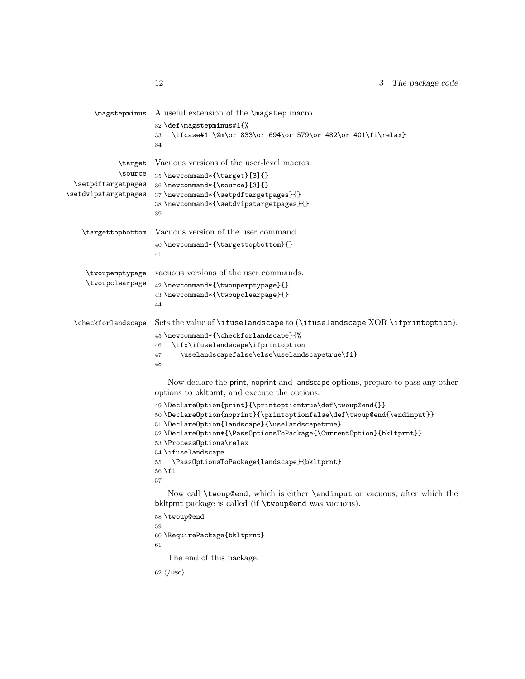```
\magstepminus A useful extension of the \magstep macro.
                      32 \def\magstepminus#1{%
                      33 \ifcase#1 \@m\or 833\or 694\or 579\or 482\or 401\fi\relax}
                      34
             \target
             \source
 \setpdftargetpages
\setdvipstargetpages
                      Vacuous versions of the user-level macros.
                      35 \newcommand*{\target}[3]{}
                      36 \newcommand*{\source}[3]{}
                      37 \newcommand*{\setpdftargetpages}{}
                      38 \newcommand*{\setdvipstargetpages}{}
                      39
   \targettopbottom Vacuous version of the user command.
                      40 \newcommand*{\targettopbottom}{}
                      41
    \twoupemptypage
    \twoupclearpage
                      vacuous versions of the user commands.
                      42 \newcommand*{\twoupemptypage}{}
                      43 \newcommand*{\twoupclearpage}{}
                      44
 \checkforlandscape Sets the value of \ifuselandscape to (\ifuselandscape XOR \ifprintoption).
                      45 \newcommand*{\checkforlandscape}{%
                      46 \ifx\ifuselandscape\ifprintoption
                      47 \uselandscapefalse\else\uselandscapetrue\fi}
                      48
                          Now declare the print, noprint and landscape options, prepare to pass any other
                      options to bkltprnt, and execute the options.
                      49 \DeclareOption{print}{\printoptiontrue\def\twoup@end{}}
                      50 \ \Declarelption{\noprint} {\printoptionfalse\def\ttwoup@end{\venity}51 \DeclareOption{landscape}{\uselandscapetrue}
                      52 \DeclareOption*{\PassOptionsToPackage{\CurrentOption}{bkltprnt}}
                      53 \ProcessOptions\relax
                      54 \ifuselandscape
                      55 \PassOptionsToPackage{landscape}{bkltprnt}
                      56 \fi
                      57
                          Now call \twoup@end, which is either \endinput or vacuous, after which the
                      bkltprnt package is called (if \twoup@end was vacuous).
                      58 \twoup@end
                      59
                      60 \RequirePackage{bkltprnt}
                      61
                          The end of this package.
                      62 \langle/usc\rangle
```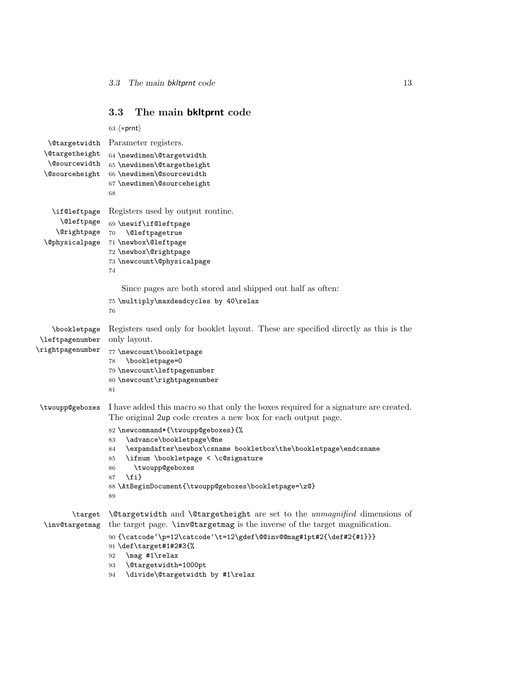### <span id="page-12-0"></span>3.3 The main bkltprnt code

```
63 \langle *prnt \rangle\@targetwidth
Parameter registers.
 \@targetheight
   \@sourcewidth
65 \newdimen\@targetheight
  \@sourceheight
66 \newdimen\@sourcewidth
                  64 \newdimen\@targetwidth
                  67 \newdimen\@sourceheight
                  68
    \if@leftpage
Registers used by output routine.
      \@leftpage
69 \newif\if@leftpage
     \@rightpage
70 \@leftpagetrue
  \@physicalpage
71 \newbox\@leftpage
                  72 \newbox\@rightpage
                  73 \newcount\@physicalpage
                  74
                     Since pages are both stored and shipped out half as often:
                  75 \multiply\maxdeadcycles by 40\relax
                  76
    \bookletpage
\leftpagenumber
\rightpagenumber
                  Registers used only for booklet layout. These are specified directly as this is the
                  only layout.
                  77 \newcount\bookletpage
                  78 \bookletpage=0
                  79 \newcount\leftpagenumber
                  80 \newcount\rightpagenumber
                  81
\twoupp@geboxes I have added this macro so that only the boxes required for a signature are created.
                  The original 2up code creates a new box for each output page.
                  82 \newcommand*{\twoupp@geboxes}{%
                  83 \advance\bookletpage\@ne
                  84 \expandafter\newbox\csname bookletbox\the\bookletpage\endcsname
                  85 \ifnum \bookletpage < \c@signature
                  86 \twoupp@geboxes
                  87 \fi}
                  88 \AtBeginDocument{\twoupp@geboxes\bookletpage=\z@}
                  89
         \target \@targetwidth and \@targetheight are set to the unmagnified dimensions of
  \inv@targetmag
the target page. \inv@targetmag is the inverse of the target magnification.
                  90 {\catcode'\p=12\catcode'\t=12\gdef\@@inv@@mag#1pt#2{\def#2{#1}}}
                  91 \def\target#1#2#3{%
                  92 \mag #1\relax
                  93 \@targetwidth=1000pt
```
94 \divide\@targetwidth by #1\relax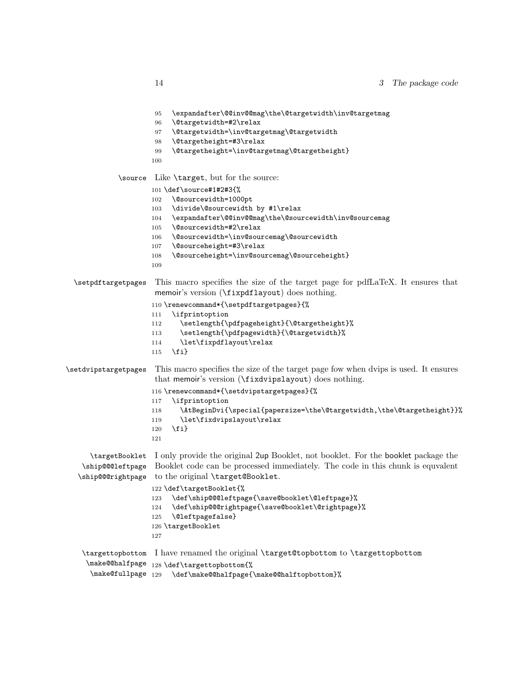|                      | \expandafter\@@inv@@mag\the\@targetwidth\inv@targetmag\<br>95                                                                                |
|----------------------|----------------------------------------------------------------------------------------------------------------------------------------------|
|                      | \@targetwidth=#2\relax<br>96                                                                                                                 |
|                      | \@targetwidth=\inv@targetmag\@targetwidth<br>97                                                                                              |
|                      | \@targetheight=#3\relax<br>98                                                                                                                |
|                      | \@targetheight=\inv@targetmag\@targetheight}<br>99                                                                                           |
|                      | 100                                                                                                                                          |
| \source              | Like \target, but for the source:                                                                                                            |
|                      | $101 \text{def}\s{$                                                                                                                          |
|                      | \@sourcewidth=1000pt<br>102                                                                                                                  |
|                      | \divide\@sourcewidth by #1\relax<br>103                                                                                                      |
|                      | \expandafter\@@inv@@mag\the\@sourcewidth\inv@sourcemag<br>104                                                                                |
|                      | \@sourcewidth=#2\relax<br>105                                                                                                                |
|                      | \@sourcewidth=\inv@sourcemag\@sourcewidth<br>106                                                                                             |
|                      | \@sourceheight=#3\relax<br>107                                                                                                               |
|                      | \@sourceheight=\inv@sourcemag\@sourceheight}<br>108                                                                                          |
|                      | 109                                                                                                                                          |
| \setpdftargetpages   | This macro specifies the size of the target page for pdfLaTeX. It ensures that<br>memoir's version (\fixpdflayout) does nothing.             |
|                      |                                                                                                                                              |
|                      | 110 \renewcommand*{\setpdftargetpages}{%                                                                                                     |
|                      | \ifprintoption<br>111                                                                                                                        |
|                      | \setlength{\pdfpageheight}{\@targetheight}%<br>112                                                                                           |
|                      | \setlength{\pdfpagewidth}{\@targetwidth}%<br>113                                                                                             |
|                      | \let\fixpdflayout\relax<br>114                                                                                                               |
|                      | $\{fi\}$<br>115                                                                                                                              |
| \setdvipstargetpages | This macro specifies the size of the target page fow when dvips is used. It ensures<br>that memoir's version (\fixdvipslayout) does nothing. |
|                      | 116 \renewcommand*{\setdvipstargetpages}{%                                                                                                   |
|                      | \ifprintoption<br>117                                                                                                                        |
|                      | \AtBeginDvi{\special{papersize=\the\@targetwidth,\the\@targetheight}}%<br>118                                                                |
|                      | \let\fixdvipslayout\relax<br>119                                                                                                             |
|                      | $\{f_i\}$<br>120                                                                                                                             |
|                      | 121                                                                                                                                          |
| \targetBooklet       | I only provide the original 2up Booklet, not booklet. For the booklet package the                                                            |
| \ship@@@leftpage     | Booklet code can be processed immediately. The code in this chunk is equivalent                                                              |
|                      |                                                                                                                                              |
| \ship@@@rightpage    | to the original \target@Booklet.                                                                                                             |
|                      | 122 \def\targetBooklet{%                                                                                                                     |
|                      | \def\ship@@@leftpage{\save@booklet\@leftpage}%<br>123                                                                                        |
|                      | \def\ship@@@rightpage{\save@booklet\@rightpage}%<br>124                                                                                      |
|                      | \@leftpagefalse}<br>125                                                                                                                      |
|                      | 126 \targetBooklet                                                                                                                           |
|                      | 127                                                                                                                                          |

\targettopbottom I have renamed the original \target@topbottom to \targettopbottom \make@@halfpage 128 \def\targettopbottom{% \make@fullpage 129 \def\make@@halfpage{\make@@halftopbottom}%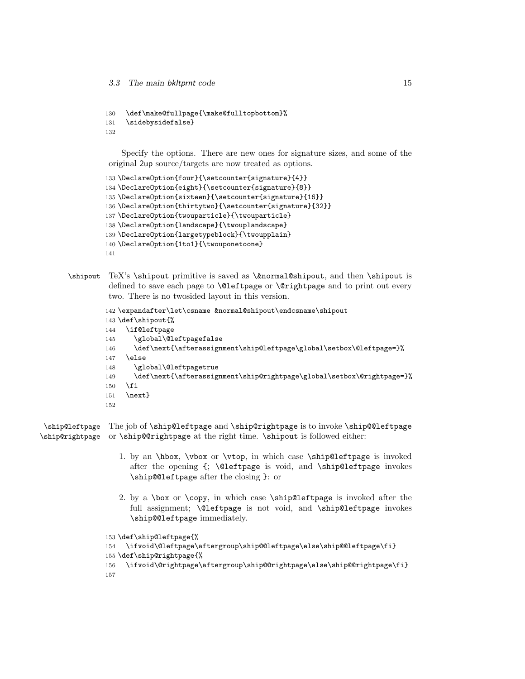```
130 \def\make@fullpage{\make@fulltopbottom}%
131 \sidebysidefalse}
132
```
Specify the options. There are new ones for signature sizes, and some of the original 2up source/targets are now treated as options.

```
133 \DeclareOption{four}{\setcounter{signature}{4}}
134 \DeclareOption{eight}{\setcounter{signature}{8}}
135 \DeclareOption{sixteen}{\setcounter{signature}{16}}
136 \DeclareOption{thirtytwo}{\setcounter{signature}{32}}
137 \DeclareOption{twouparticle}{\twouparticle}
138 \DeclareOption{landscape}{\twouplandscape}
139 \DeclareOption{largetypeblock}{\twoupplain}
140 \DeclareOption{1to1}{\twouponetoone}
141
```
 $\sim$  TeX's \shipout primitive is saved as  $\&normal$ Chipout, and then \shipout is defined to save each page to **\@leftpage** or **\@rightpage** and to print out every two. There is no twosided layout in this version.

```
142 \expandafter\let\csname &normal@shipout\endcsname\shipout
143 \def\shipout{%
144 \if@leftpage
145 \global\@leftpagefalse
146 \def\next{\afterassignment\ship@leftpage\global\setbox\@leftpage=}%
147 \else
148 \global\@leftpagetrue
149 \def\next{\afterassignment\ship@rightpage\global\setbox\@rightpage=}%
150 \fi
151 \next}
152
```
\ship@leftpage The job of \ship@leftpage and \ship@rightpage is to invoke \ship@@leftpage \ship@rightpage or \ship@@rightpage at the right time. \shipout is followed either:

- 1. by an \hbox, \vbox or \vtop, in which case \ship@leftpage is invoked after the opening {; \@leftpage is void, and \ship@leftpage invokes \ship@@leftpage after the closing }: or
- 2. by a \box or \copy, in which case \ship@leftpage is invoked after the full assignment; \@leftpage is not void, and \ship@leftpage invokes \ship@@leftpage immediately.

```
153 \def\ship@leftpage{%
154 \ifvoid\@leftpage\aftergroup\ship@@leftpage\else\ship@@leftpage\fi}
155 \def\ship@rightpage{%
156 \ifvoid\@rightpage\aftergroup\ship@@rightpage\else\ship@@rightpage\fi}
157
```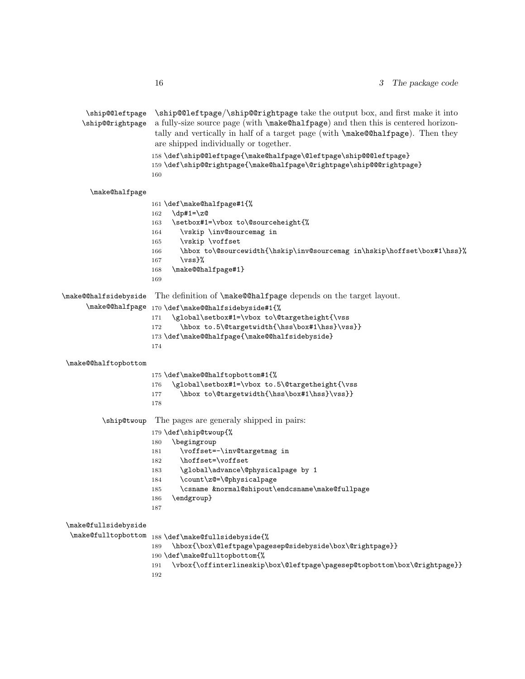\ship@@leftpage \ship@@rightpage \ship@@leftpage/\ship@@rightpage take the output box, and first make it into a fully-size source page (with \make@halfpage) and then this is centered horizontally and vertically in half of a target page (with \make@@halfpage). Then they are shipped individually or together. 158 \def\ship@@leftpage{\make@halfpage\@leftpage\ship@@@leftpage} 159 \def\ship@@rightpage{\make@halfpage\@rightpage\ship@@@rightpage} 160 \make@halfpage 161 \def\make@halfpage#1{%  $162 \quad \text{dp#1=}\,Z@$ 163 \setbox#1=\vbox to\@sourceheight{% 164 \vskip \inv@sourcemag in 165 \vskip \voffset 166 \hbox to\@sourcewidth{\hskip\inv@sourcemag in\hskip\hoffset\box#1\hss}%  $167 \quad \text{Vss}\%$ 168 \make@@halfpage#1} 169 \make@@halfsidebyside The definition of \make@@halfpage depends on the target layout. \make@@halfpage 170 \def\make@@halfsidebyside#1{% 171 \global\setbox#1=\vbox to\@targetheight{\vss 172 \hbox to.5\@targetwidth{\hss\box#1\hss}\vss}} 173 \def\make@@halfpage{\make@@halfsidebyside} 174 \make@@halftopbottom 175 \def\make@@halftopbottom#1{% 176 \global\setbox#1=\vbox to.5\@targetheight{\vss 177 \hbox to\@targetwidth{\hss\box#1\hss}\vss}} 178 \ship@twoup The pages are generaly shipped in pairs: 179 \def\ship@twoup{% 180 \begingroup 181 \voffset=-\inv@targetmag in 182 \hoffset=\voffset 183 \global\advance\@physicalpage by 1 184 \count\z@=\@physicalpage 185 \csname &normal@shipout\endcsname\make@fullpage 186 \endgroup} 187 \make@fullsidebyside  $\label{thm:main} $$\make@full \top bottom_188 \def\make@full \end{split} is defined by side{X$ 189 \hbox{\box\@leftpage\pagesep@sidebyside\box\@rightpage}} 190 \def\make@fulltopbottom{% 191 \vbox{\offinterlineskip\box\@leftpage\pagesep@topbottom\box\@rightpage}} 192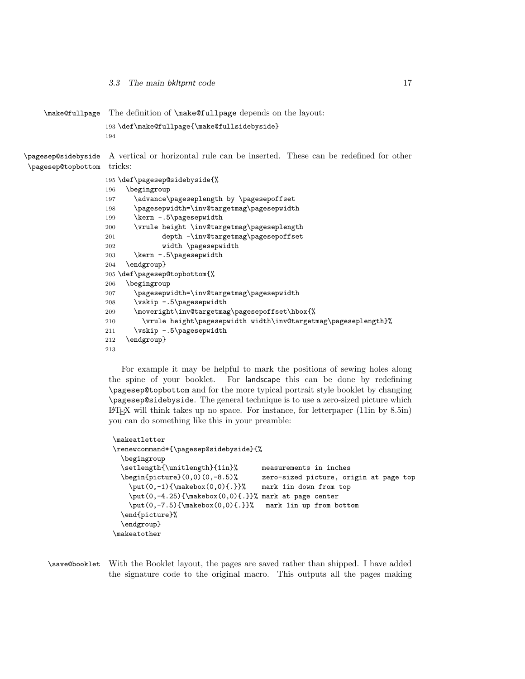```
\make@fullpage The definition of \make@fullpage depends on the layout:
                   193 \def\make@fullpage{\make@fullsidebyside}
                   194
\pagesep@sidebyside
A vertical or horizontal rule can be inserted. These can be redefined for other
\pagesep@topbottom
tricks:
                   195 \def\pagesep@sidebyside{%
                   196 \begingroup
                   197 \advance\pageseplength by \pagesepoffset
                   198 \pagesepwidth=\inv@targetmag\pagesepwidth
                   199 \kern -.5\pagesepwidth
                   200 \vrule height \inv@targetmag\pageseplength
                   201 depth -\inv@targetmag\pagesepoffset
                   202 width \pagesepwidth
                   203 \kern -.5\pagesepwidth
                   204 \endgroup}
                   205 \def\pagesep@topbottom{%
                   206 \begingroup
                   207 \pagesepwidth=\inv@targetmag\pagesepwidth
                   208 \vskip -.5\pagesepwidth
                   209 \moveright\inv@targetmag\pagesepoffset\hbox{%
                   210 \vrule height\pagesepwidth width\inv@targetmag\pageseplength}%
                   211 \vskip -.5\pagesepwidth
                   212 \endgroup}
                   213
```
For example it may be helpful to mark the positions of sewing holes along the spine of your booklet. For landscape this can be done by redefining \pagesep@topbottom and for the more typical portrait style booklet by changing \pagesep@sidebyside. The general technique is to use a zero-sized picture which  $EFT$ K will think takes up no space. For instance, for letterpaper (11in by 8.5in) you can do something like this in your preamble:

```
\makeatletter
\renewcommand*{\pagesep@sidebyside}{%
 \begingroup
 \setlength{\unitlength}{1in}% measurements in inches
  \begin{picture}(0,0)(0,-8.5)% zero-sized picture, origin at page top
   \put(0,-1){\mathbb{\ldots}0} mark 1in down from top
   \put(0,-4.25){\makebox(0,0){.}}% mark at page center
   \put(0,-7.5){\makebox(0,0){.}}% mark 1in up from bottom
  \end{picture}%
  \endgroup}
\makeatother
```
\save@booklet With the Booklet layout, the pages are saved rather than shipped. I have added the signature code to the original macro. This outputs all the pages making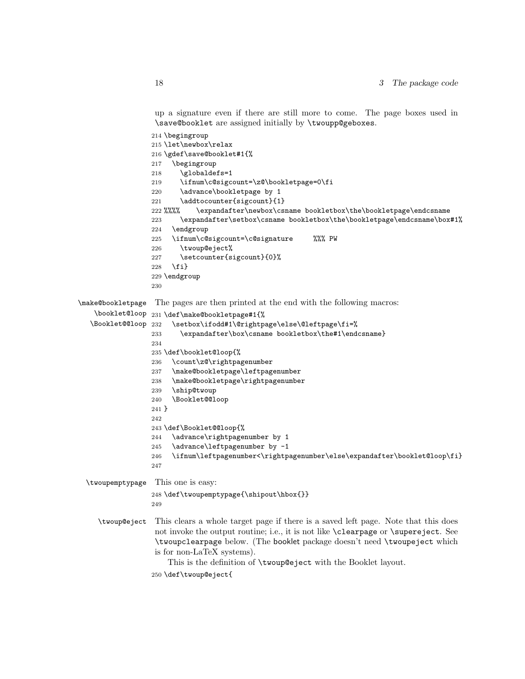up a signature even if there are still more to come. The page boxes used in \save@booklet are assigned initially by \twoupp@geboxes.

```
214 \begingroup
                 215 \let\newbox\relax
                 216 \gdef\save@booklet#1{%
                 217 \begingroup
                 218 \globaldefs=1
                 219 \ifnum\c@sigcount=\z@\bookletpage=0\fi
                 220 \advance\bookletpage by 1
                 221 \addtocounter{sigcount}{1}
                 222 %%%% \expandafter\newbox\csname bookletbox\the\bookletpage\endcsname
                 223 \expandafter\setbox\csname bookletbox\the\bookletpage\endcsname\box#1%
                 224 \endgroup
                 225 \ifnum\c@sigcount=\c@signature %%% PW
                 226 \twoup@eject%
                 227 \setcounter{sigcount}{0}%
                 228 \fi}
                 229 \endgroup
                 230
\make@bookletpage
The pages are then printed at the end with the following macros:
    \booklet@loop
231 \def\make@bookletpage#1{%
  \Booklet@@loop 232
                       \setbox\ifodd#1\@rightpage\else\@leftpage\fi=%
                 233 \expandafter\box\csname bookletbox\the#1\endcsname}
                 234
                 235 \def\booklet@loop{%
                 236 \count\z@\rightpagenumber
                 237 \make@bookletpage\leftpagenumber
                 238 \make@bookletpage\rightpagenumber
                 239 \ship@twoup
                 240 \Booklet@@loop
                 241 }
                 242
                 243 \def\Booklet@@loop{%
                 244 \advance\rightpagenumber by 1
                 245 \advance\leftpagenumber by -1
                 246 \ifnum\leftpagenumber<\rightpagenumber\else\expandafter\booklet@loop\fi}
                 247
 \twoupemptypage This one is easy:
                 248 \def\twoupemptypage{\shipout\hbox{}}
                 249
    \twoup@eject This clears a whole target page if there is a saved left page. Note that this does
                  not invoke the output routine; i.e., it is not like \clearpage or \supereject. See
                  \twoupclearpage below. (The booklet package doesn't need \twoupeject which
                  is for non-LaTeX systems).
                      This is the definition of \twoup@eject with the Booklet layout.
                  250 \def\twoup@eject{
```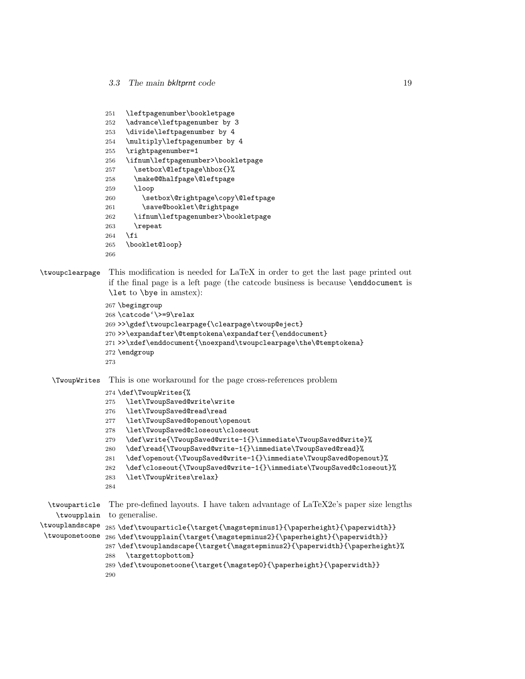```
251 \leftpagenumber\bookletpage
                252 \advance\leftpagenumber by 3
                253 \divide\leftpagenumber by 4
                254 \multiply\leftpagenumber by 4
                255 \rightpagenumber=1
                256 \ifnum\leftpagenumber>\bookletpage
                257 \setbox\@leftpage\hbox{}%
                258 \make@@halfpage\@leftpage
                259 \loop
                260 \setbox\@rightpage\copy\@leftpage
                261 \save@booklet\@rightpage
                262 \ifnum\leftpagenumber>\bookletpage
                263 \repeat
                264 \fi
                265 \booklet@loop}
                266
\twoupclearpage This modification is needed for LaTeX in order to get the last page printed out
                if the final page is a left page (the catcode business is because \enddocument is
                \let to \bye in amstex):
                267 \begingroup
                268 \catcode'\>=9\relax
                269 >>\gdef\twoupclearpage{\clearpage\twoup@eject}
                270 >>\expandafter\@temptokena\expandafter{\enddocument}
                271 >>\xdef\enddocument{\noexpand\twoupclearpage\the\@temptokena}
                272 \endgroup
                273
   \TwoupWrites This is one workaround for the page cross-references problem
                274 \def\TwoupWrites{%
                275 \let\TwoupSaved@write\write
                276 \let\TwoupSaved@read\read
                277 \let\TwoupSaved@openout\openout
                278 \let\TwoupSaved@closeout\closeout
                279 \def\write{\TwoupSaved@write-1{}\immediate\TwoupSaved@write}%
                280 \def\read{\TwoupSaved@write-1{}\immediate\TwoupSaved@read}%
                281 \def\openout{\TwoupSaved@write-1{}\immediate\TwoupSaved@openout}%
                282 \def\closeout{\TwoupSaved@write-1{}\immediate\TwoupSaved@closeout}%
                283 \let\TwoupWrites\relax}
                284
 \twouparticle
    \twoupplain
\twouplandscape 285 \def\twouparticle{\target{\magstepminus1}{\paperheight}{\paperwidth}}
\twouponetoone
                The pre-defined layouts. I have taken advantage of LaTeX2e's paper size lengths
                to generalise.
               286 \def\twoupplain{\target{\magstepminus2}{\paperheight}{\paperwidth}}
                287 \def\twouplandscape{\target{\magstepminus2}{\paperwidth}{\paperheight}%
                288 \targettopbottom}
                289 \def\twouponetoone{\target{\magstep0}{\paperheight}{\paperwidth}}
```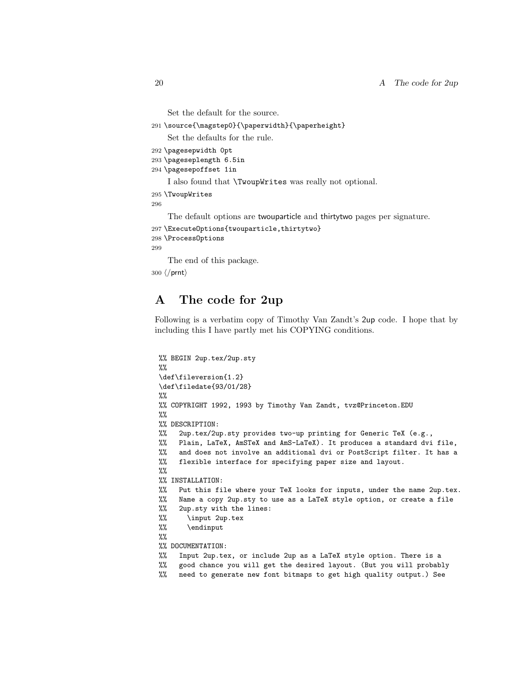```
Set the default for the source.
```

```
291 \source{\magstep0}{\paperwidth}{\paperheight}
```
Set the defaults for the rule.

```
292 \pagesepwidth 0pt
```

```
293 \pageseplength 6.5in
```

```
294 \pagesepoffset 1in
```
I also found that \TwoupWrites was really not optional.

```
295 \TwoupWrites
```
296

The default options are twouparticle and thirtytwo pages per signature.

```
297 \ExecuteOptions{twouparticle,thirtytwo}
```

```
298 \ProcessOptions
```
299

The end of this package.

300 (/prnt)

## <span id="page-19-0"></span>A The code for 2up

Following is a verbatim copy of Timothy Van Zandt's 2up code. I hope that by including this I have partly met his COPYING conditions.

```
%% BEGIN 2up.tex/2up.sty
%%
\def\fileversion{1.2}
\def\filedate{93/01/28}
\%%% COPYRIGHT 1992, 1993 by Timothy Van Zandt, tvz@Princeton.EDU
\%%% DESCRIPTION:
%% 2up.tex/2up.sty provides two-up printing for Generic TeX (e.g.,
%% Plain, LaTeX, AmSTeX and AmS-LaTeX). It produces a standard dvi file,
%% and does not involve an additional dvi or PostScript filter. It has a
%% flexible interface for specifying paper size and layout.
\%%
%% INSTALLATION:
%% Put this file where your TeX looks for inputs, under the name 2up.tex.
%% Name a copy 2up.sty to use as a LaTeX style option, or create a file
%% 2up.sty with the lines:
%% \input 2up.tex
%% \endinput
%%
%% DOCUMENTATION:
%% Input 2up.tex, or include 2up as a LaTeX style option. There is a
%% good chance you will get the desired layout. (But you will probably
%% need to generate new font bitmaps to get high quality output.) See
```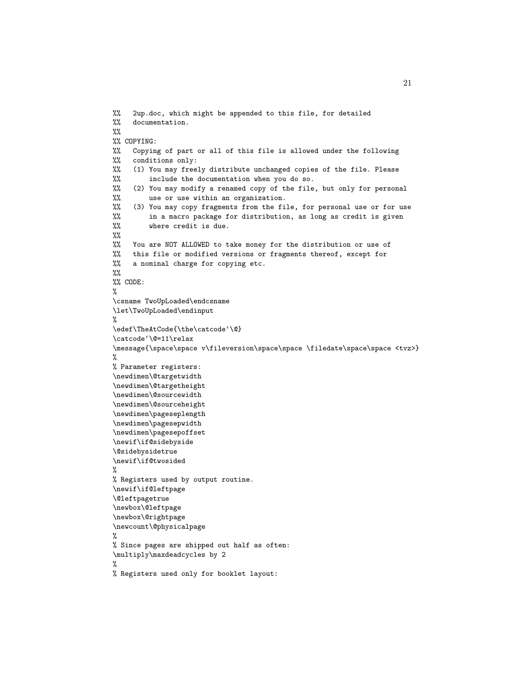```
%% 2up.doc, which might be appended to this file, for detailed
%% documentation.
\%%
%% COPYING:
%% Copying of part or all of this file is allowed under the following
%% conditions only:
%% (1) You may freely distribute unchanged copies of the file. Please
%% include the documentation when you do so.
%% (2) You may modify a renamed copy of the file, but only for personal
%% use or use within an organization.<br>%% (3) You may copy fragments from the fil
     (3) You may copy fragments from the file, for personal use or for use
%% in a macro package for distribution, as long as credit is given
%% where credit is due.
%%
%% You are NOT ALLOWED to take money for the distribution or use of
%% this file or modified versions or fragments thereof, except for \frac{m}{n} a nominal charge for copying etc.
    a nominal charge for copying etc.
%%
%% CODE:
%
\csname TwoUpLoaded\endcsname
\let\TwoUpLoaded\endinput
%
\edef\TheAtCode{\the\catcode'\@}
\catcode'\@=11\relax
\message{\space\space v\fileversion\space\space \filedate\space\space <tvz>}
%
% Parameter registers:
\newdimen\@targetwidth
\newdimen\@targetheight
\newdimen\@sourcewidth
\newdimen\@sourceheight
\newdimen\pageseplength
\newdimen\pagesepwidth
\newdimen\pagesepoffset
\newif\if@sidebyside
\@sidebysidetrue
\newif\if@twosided
%
% Registers used by output routine.
\newif\if@leftpage
\@leftpagetrue
\newbox\@leftpage
\newbox\@rightpage
\newcount\@physicalpage
%
% Since pages are shipped out half as often:
\multiply\maxdeadcycles by 2
%
% Registers used only for booklet layout:
```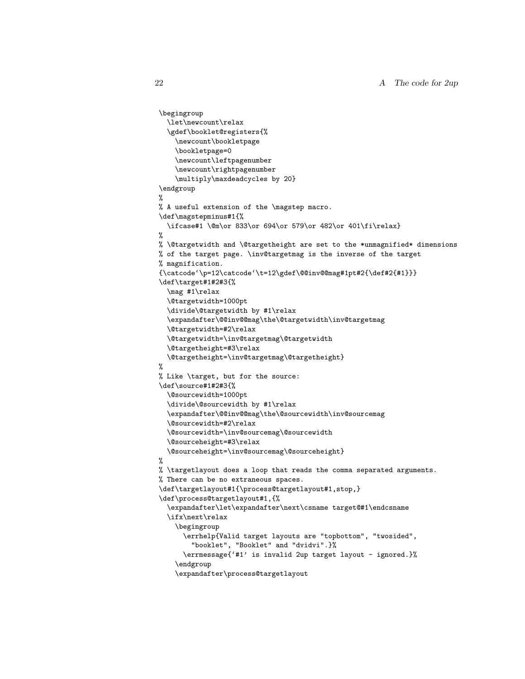```
\begingroup
  \let\newcount\relax
  \gdef\booklet@registers{%
    \newcount\bookletpage
    \bookletpage=0
    \newcount\leftpagenumber
    \newcount\rightpagenumber
    \multiply\maxdeadcycles by 20}
\endgroup
%
% A useful extension of the \magstep macro.
\def\magstepminus#1{%
  \ifcase#1 \@m\or 833\or 694\or 579\or 482\or 401\fi\relax}
%
% \@targetwidth and \@targetheight are set to the *unmagnified* dimensions
% of the target page. \inv@targetmag is the inverse of the target
% magnification.
{\catcode'\p=12\catcode'\t=12\gdef\@@inv@@mag#1pt#2{\def#2{#1}}}
\def\target#1#2#3{%
  \mag #1\relax
  \@targetwidth=1000pt
  \divide\@targetwidth by #1\relax
  \expandafter\@@inv@@mag\the\@targetwidth\inv@targetmag
  \@targetwidth=#2\relax
  \@targetwidth=\inv@targetmag\@targetwidth
  \@targetheight=#3\relax
  \@targetheight=\inv@targetmag\@targetheight}
%
% Like \target, but for the source:
\def\source#1#2#3{%
  \@sourcewidth=1000pt
  \divide\@sourcewidth by #1\relax
  \expandafter\@@inv@@mag\the\@sourcewidth\inv@sourcemag
  \@sourcewidth=#2\relax
  \@sourcewidth=\inv@sourcemag\@sourcewidth
  \@sourceheight=#3\relax
  \@sourceheight=\inv@sourcemag\@sourceheight}
%
% \targetlayout does a loop that reads the comma separated arguments.
% There can be no extraneous spaces.
\def\targetlayout#1{\process@targetlayout#1,stop,}
\def\process@targetlayout#1,{%
  \expandafter\let\expandafter\next\csname target@#1\endcsname
  \ifx\next\relax
    \begingroup
      \errhelp{Valid target layouts are "topbottom", "twosided",
        "booklet", "Booklet" and "dvidvi".}%
      \errmessage{'#1' is invalid 2up target layout - ignored.}%
    \endgroup
    \expandafter\process@targetlayout
```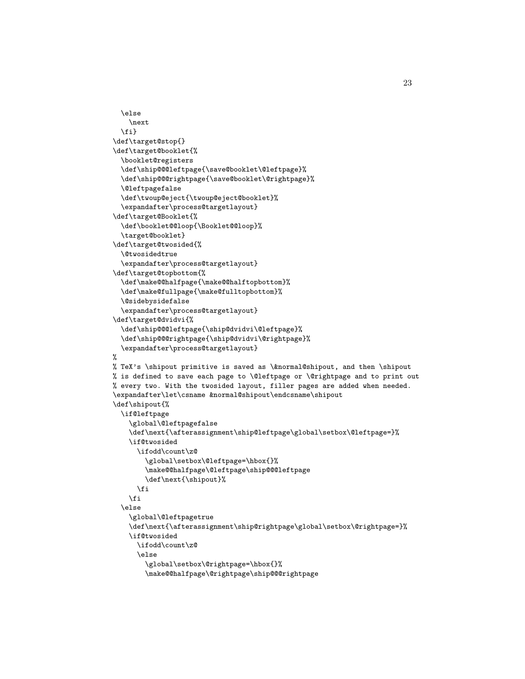```
\else
    \next
  \fi}
\def\target@stop{}
\def\target@booklet{%
  \booklet@registers
  \def\ship@@@leftpage{\save@booklet\@leftpage}%
  \def\ship@@@rightpage{\save@booklet\@rightpage}%
  \@leftpagefalse
  \def\twoup@eject{\twoup@eject@booklet}%
  \expandafter\process@targetlayout}
\def\target@Booklet{%
  \def\booklet@@loop{\Booklet@@loop}%
  \target@booklet}
\def\target@twosided{%
  \@twosidedtrue
  \expandafter\process@targetlayout}
\def\target@topbottom{%
  \def\make@@halfpage{\make@@halftopbottom}%
  \def\make@fullpage{\make@fulltopbottom}%
  \@sidebysidefalse
  \expandafter\process@targetlayout}
\def\target@dvidvi{%
  \def\ship@@@leftpage{\ship@dvidvi\@leftpage}%
  \def\ship@@@rightpage{\ship@dvidvi\@rightpage}%
  \expandafter\process@targetlayout}
%
% TeX's \shipout primitive is saved as \&normal@shipout, and then \shipout
% is defined to save each page to \@leftpage or \@rightpage and to print out
% every two. With the twosided layout, filler pages are added when needed.
\expandafter\let\csname &normal@shipout\endcsname\shipout
\def\shipout{%
  \if@leftpage
    \global\@leftpagefalse
    \def\next{\afterassignment\ship@leftpage\global\setbox\@leftpage=}%
    \if@twosided
      \ifodd\count\z@
        \global\setbox\@leftpage=\hbox{}%
        \make@@halfpage\@leftpage\ship@@@leftpage
        \def\next{\shipout}%
     \fi
    \fi
  \else
    \global\@leftpagetrue
    \def\next{\afterassignment\ship@rightpage\global\setbox\@rightpage=}%
    \if@twosided
     \ifodd\count\z@
      \else
        \global\setbox\@rightpage=\hbox{}%
        \make@@halfpage\@rightpage\ship@@@rightpage
```
23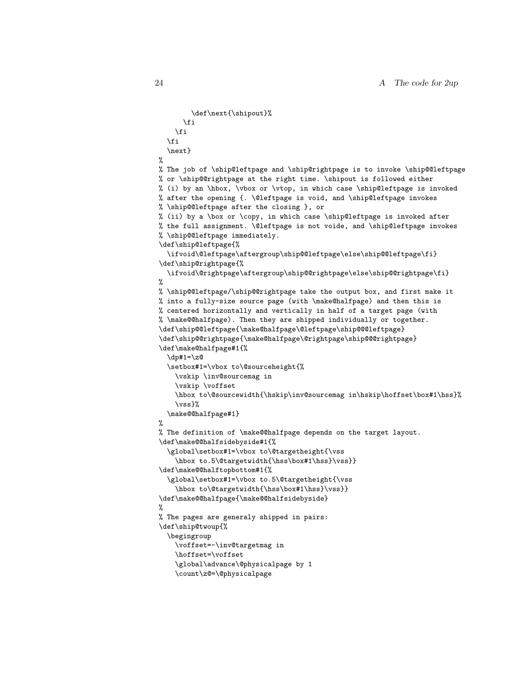```
\def\next{\shipout}%
      \fi
    \fi
  \fi
  \next}
%
% The job of \ship@leftpage and \ship@rightpage is to invoke \ship@@leftpage
% or \ship@@rightpage at the right time. \shipout is followed either
% (i) by an \hbox, \vbox or \vtop, in which case \ship@leftpage is invoked
% after the opening {. \@leftpage is void, and \ship@leftpage invokes
% \ship@@leftpage after the closing }, or
% (ii) by a \box or \copy, in which case \ship@leftpage is invoked after
% the full assignment. \@leftpage is not voide, and \ship@leftpage invokes
% \ship@@leftpage immediately.
\def\ship@leftpage{%
  \ifvoid\@leftpage\aftergroup\ship@@leftpage\else\ship@@leftpage\fi}
\def\ship@rightpage{%
  \ifvoid\@rightpage\aftergroup\ship@@rightpage\else\ship@@rightpage\fi}
%
% \ship@@leftpage/\ship@@rightpage take the output box, and first make it
% into a fully-size source page (with \make@halfpage) and then this is
% centered horizontally and vertically in half of a target page (with
% \make@@halfpage). Then they are shipped individually or together.
\def\ship@@leftpage{\make@halfpage\@leftpage\ship@@@leftpage}
\def\ship@@rightpage{\make@halfpage\@rightpage\ship@@@rightpage}
\def\make@halfpage#1{%
  \dp#1=\z@
  \setbox#1=\vbox to\@sourceheight{%
    \vskip \inv@sourcemag in
    \vskip \voffset
    \hbox to\@sourcewidth{\hskip\inv@sourcemag in\hskip\hoffset\box#1\hss}%
    \vss}%
  \make@@halfpage#1}
%
% The definition of \make@@halfpage depends on the target layout.
\def\make@@halfsidebyside#1{%
  \global\setbox#1=\vbox to\@targetheight{\vss
    \hbox to.5\@targetwidth{\hss\box#1\hss}\vss}}
\def\make@@halftopbottom#1{%
  \global\setbox#1=\vbox to.5\@targetheight{\vss
    \hbox to\@targetwidth{\hss\box#1\hss}\vss}}
\def\make@@halfpage{\make@@halfsidebyside}
%
% The pages are generaly shipped in pairs:
\def\ship@twoup{%
  \begingroup
    \voffset=-\inv@targetmag in
    \hoffset=\voffset
    \global\advance\@physicalpage by 1
    \count\z@=\@physicalpage
```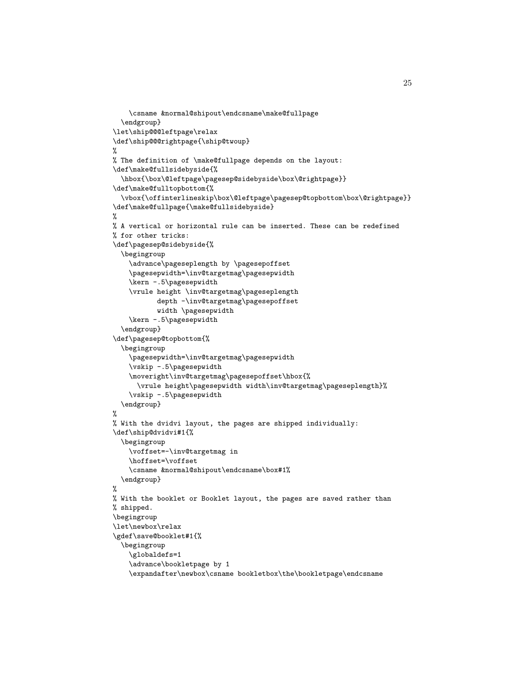```
\csname &normal@shipout\endcsname\make@fullpage
  \endgroup}
\let\ship@@@leftpage\relax
\def\ship@@@rightpage{\ship@twoup}
%
% The definition of \make@fullpage depends on the layout:
\def\make@fullsidebyside{%
  \hbox{\box\@leftpage\pagesep@sidebyside\box\@rightpage}}
\def\make@fulltopbottom{%
  \vbox{\offinterlineskip\box\@leftpage\pagesep@topbottom\box\@rightpage}}
\def\make@fullpage{\make@fullsidebyside}
%
% A vertical or horizontal rule can be inserted. These can be redefined
% for other tricks:
\def\pagesep@sidebyside{%
  \begingroup
    \advance\pageseplength by \pagesepoffset
    \pagesepwidth=\inv@targetmag\pagesepwidth
    \kern -.5\pagesepwidth
    \vrule height \inv@targetmag\pageseplength
           depth -\inv@targetmag\pagesepoffset
           width \pagesepwidth
    \kern -.5\pagesepwidth
  \endgroup}
\def\pagesep@topbottom{%
  \begingroup
    \pagesepwidth=\inv@targetmag\pagesepwidth
    \vskip -.5\pagesepwidth
    \moveright\inv@targetmag\pagesepoffset\hbox{%
      \vrule height\pagesepwidth width\inv@targetmag\pageseplength}%
    \vskip -.5\pagesepwidth
  \endgroup}
%
% With the dvidvi layout, the pages are shipped individually:
\def\ship@dvidvi#1{%
  \begingroup
    \voffset=-\inv@targetmag in
    \hoffset=\voffset
    \csname &normal@shipout\endcsname\box#1%
  \endgroup}
%
% With the booklet or Booklet layout, the pages are saved rather than
% shipped.
\begingroup
\let\newbox\relax
\gdef\save@booklet#1{%
  \begingroup
    \globaldefs=1
    \advance\bookletpage by 1
    \expandafter\newbox\csname bookletbox\the\bookletpage\endcsname
```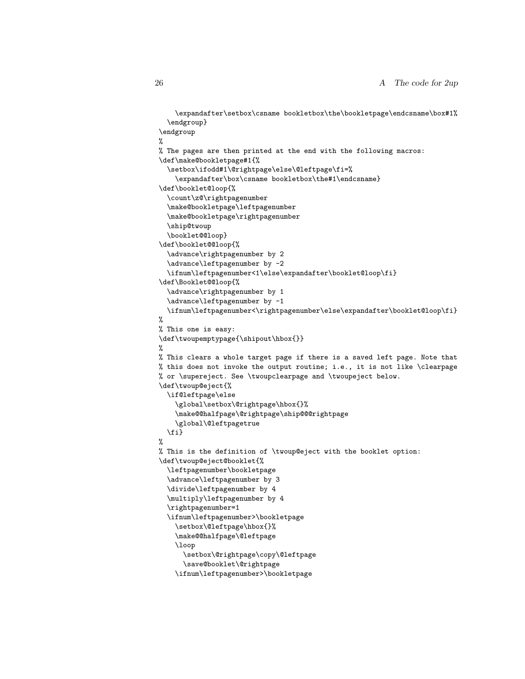```
\expandafter\setbox\csname bookletbox\the\bookletpage\endcsname\box#1%
  \endgroup}
\endgroup
%
% The pages are then printed at the end with the following macros:
\def\make@bookletpage#1{%
  \setbox\ifodd#1\@rightpage\else\@leftpage\fi=%
    \expandafter\box\csname bookletbox\the#1\endcsname}
\def\booklet@loop{%
  \count\z@\rightpagenumber
  \make@bookletpage\leftpagenumber
  \make@bookletpage\rightpagenumber
  \ship@twoup
  \booklet@@loop}
\def\booklet@@loop{%
  \advance\rightpagenumber by 2
  \advance\leftpagenumber by -2
  \ifnum\leftpagenumber<1\else\expandafter\booklet@loop\fi}
\def\Booklet@@loop{%
  \advance\rightpagenumber by 1
  \advance\leftpagenumber by -1
  \ifnum\leftpagenumber<\rightpagenumber\else\expandafter\booklet@loop\fi}
%
% This one is easy:
\def\twoupemptypage{\shipout\hbox{}}
%
% This clears a whole target page if there is a saved left page. Note that
% this does not invoke the output routine; i.e., it is not like \clearpage
% or \supereject. See \twoupclearpage and \twoupeject below.
\def\twoup@eject{%
  \if@leftpage\else
    \global\setbox\@rightpage\hbox{}%
    \make@@halfpage\@rightpage\ship@@@rightpage
    \global\@leftpagetrue
  \fi}
%
% This is the definition of \twoup@eject with the booklet option:
\def\twoup@eject@booklet{%
  \leftpagenumber\bookletpage
  \advance\leftpagenumber by 3
  \divide\leftpagenumber by 4
  \multiply\leftpagenumber by 4
  \rightpagenumber=1
  \ifnum\leftpagenumber>\bookletpage
    \setbox\@leftpage\hbox{}%
    \make@@halfpage\@leftpage
    \loop
      \setbox\@rightpage\copy\@leftpage
      \save@booklet\@rightpage
```

```
\ifnum\leftpagenumber>\bookletpage
```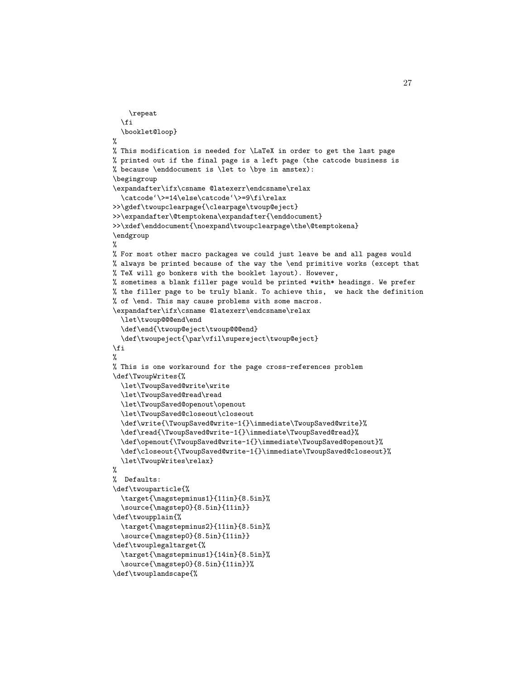```
\repeat
  \fi
  \booklet@loop}
%
% This modification is needed for \LaTeX in order to get the last page
% printed out if the final page is a left page (the catcode business is
% because \enddocument is \let to \bye in amstex):
\begingroup
\expandafter\ifx\csname @latexerr\endcsname\relax
  \catcode'\>=14\else\catcode'\>=9\fi\relax
>>\gdef\twoupclearpage{\clearpage\twoup@eject}
>>\expandafter\@temptokena\expandafter{\enddocument}
>>\xdef\enddocument{\noexpand\twoupclearpage\the\@temptokena}
\endgroup
%
% For most other macro packages we could just leave be and all pages would
% always be printed because of the way the \end primitive works (except that
% TeX will go bonkers with the booklet layout). However,
% sometimes a blank filler page would be printed *with* headings. We prefer
% the filler page to be truly blank. To achieve this, we hack the definition
% of \end. This may cause problems with some macros.
\expandafter\ifx\csname @latexerr\endcsname\relax
  \let\twoup@@@end\end
  \def\end{\twoup@eject\twoup@@@end}
  \def\twoupeject{\par\vfil\supereject\twoup@eject}
\fi
%
% This is one workaround for the page cross-references problem
\def\TwoupWrites{%
  \let\TwoupSaved@write\write
  \let\TwoupSaved@read\read
  \let\TwoupSaved@openout\openout
  \let\TwoupSaved@closeout\closeout
  \def\write{\TwoupSaved@write-1{}\immediate\TwoupSaved@write}%
  \def\read{\TwoupSaved@write-1{}\immediate\TwoupSaved@read}%
  \def\openout{\TwoupSaved@write-1{}\immediate\TwoupSaved@openout}%
  \def\closeout{\TwoupSaved@write-1{}\immediate\TwoupSaved@closeout}%
  \let\TwoupWrites\relax}
%
% Defaults:
\def\twouparticle{%
  \target{\magstepminus1}{11in}{8.5in}%
  \source{\magstep0}{8.5in}{11in}}
\def\twoupplain{%
  \target{\magstepminus2}{11in}{8.5in}%
  \source{\magstep0}{8.5in}{11in}}
\def\twouplegaltarget{%
  \target{\magstepminus1}{14in}{8.5in}%
  \source{\magstep0}{8.5in}{11in}}%
\def\twouplandscape{%
```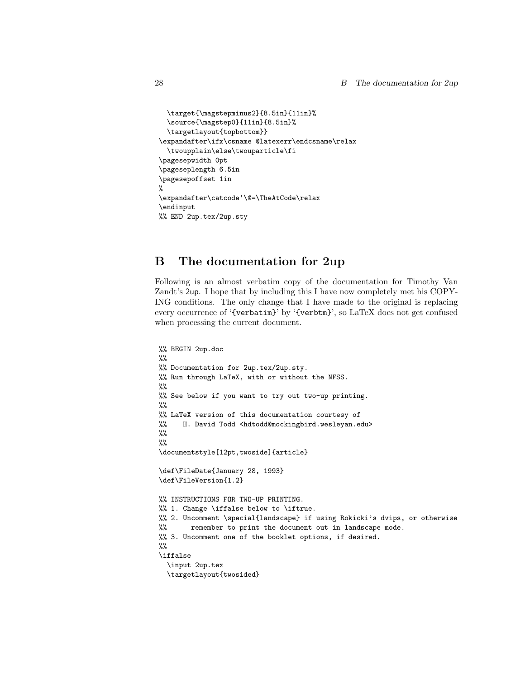```
\target{\magstepminus2}{8.5in}{11in}%
  \source{\magstep0}{11in}{8.5in}%
  \targetlayout{topbottom}}
\expandafter\ifx\csname @latexerr\endcsname\relax
  \twoupplain\else\twouparticle\fi
\pagesepwidth 0pt
\pageseplength 6.5in
\pagesepoffset 1in
%
\expandafter\catcode'\@=\TheAtCode\relax
\endinput
%% END 2up.tex/2up.sty
```
## <span id="page-27-0"></span>B The documentation for 2up

Following is an almost verbatim copy of the documentation for Timothy Van Zandt's 2up. I hope that by including this I have now completely met his COPY-ING conditions. The only change that I have made to the original is replacing every occurrence of '{verbatim}' by '{verbtm}', so LaTeX does not get confused when processing the current document.

```
%% BEGIN 2up.doc
%%
%% Documentation for 2up.tex/2up.sty.
%% Run through LaTeX, with or without the NFSS.
%%
%% See below if you want to try out two-up printing.
%%
%% LaTeX version of this documentation courtesy of
%% H. David Todd <hdtodd@mockingbird.wesleyan.edu>
%%
\%\documentstyle[12pt,twoside]{article}
\def\FileDate{January 28, 1993}
\def\FileVersion{1.2}
%% INSTRUCTIONS FOR TWO-UP PRINTING.
%% 1. Change \iffalse below to \iftrue.
%% 2. Uncomment \special{landscape} if using Rokicki's dvips, or otherwise
%% remember to print the document out in landscape mode.
%% 3. Uncomment one of the booklet options, if desired.
\%\iffalse
  \input 2up.tex
  \targetlayout{twosided}
```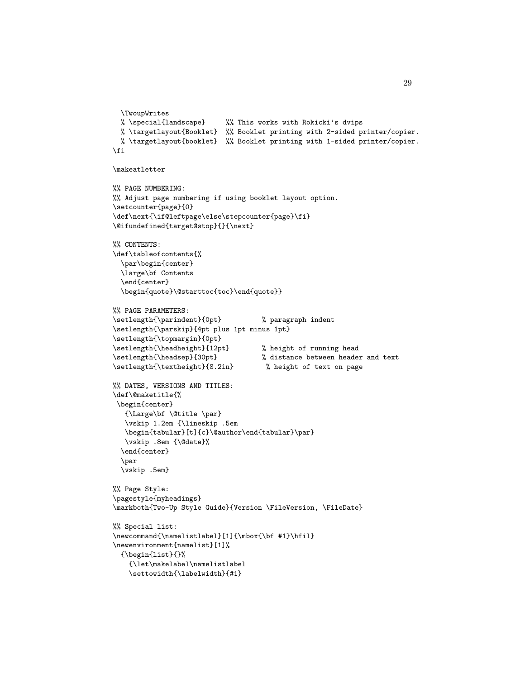```
\TwoupWrites
 % \special{landscape} %% This works with Rokicki's dvips
 % \targetlayout{Booklet} %% Booklet printing with 2-sided printer/copier.
 % \targetlayout{booklet} %% Booklet printing with 1-sided printer/copier.
\fi
\makeatletter
%% PAGE NUMBERING:
%% Adjust page numbering if using booklet layout option.
\setcounter{page}{0}
\def\next{\if@leftpage\else\stepcounter{page}\fi}
\@ifundefined{target@stop}{}{\next}
%% CONTENTS:
\def\tableofcontents{%
  \par\begin{center}
  \large\bf Contents
  \end{center}
  \begin{quote}\@starttoc{toc}\end{quote}}
%% PAGE PARAMETERS:
\setlength{\parindent}{0pt} % paragraph indent
\setlength{\parskip}{4pt plus 1pt minus 1pt}
\setlength{\topmargin}{0pt}
\setlength{\headheight}{12pt} % height of running head
\setlength{\headsep}{30pt} % distance between header and text
\setlength{\textheight}{8.2in} % height of text on page
%% DATES, VERSIONS AND TITLES:
\def\@maketitle{%
\begin{center}
   {\Large\bf \@title \par}
   \vskip 1.2em {\lineskip .5em
   \begin{tabular}[t]{c}\@author\end{tabular}\par}
   \vskip .8em {\@date}%
  \end{center}
  \par
  \vskip .5em}
%% Page Style:
\pagestyle{myheadings}
\markboth{Two-Up Style Guide}{Version \FileVersion, \FileDate}
%% Special list:
\verb|\newcommand{\\namelistlabel|[1]{{\mbox{\quad \quad}}\hbox{H1}}|\newenvironment{namelist}[1]%
  {\begin{subarray}{c}{\let\makelabel\namelistlabel
    \settowidth{\labelwidth}{#1}
```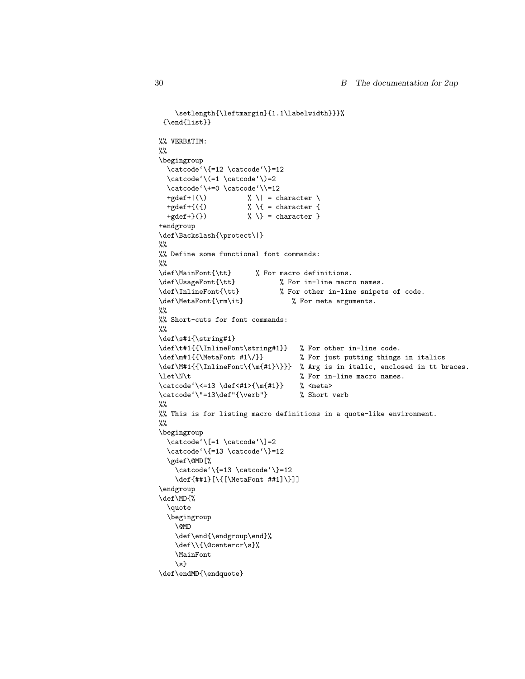```
\setlength{\leftmargin}{1.1\labelwidth}}}%
 {\end{list}}
%% VERBATIM:
%%
\begingroup
  \text{cde'}{\=12 \cdot \text{cde'}}\=12\text{cde'}(=1 \text{cde'})=2\catcode'\+=0 \catcode'\\=12
  +gdef+|(\n\setminus) % \| = character \
  +gdef+{({}) % \{ = character {
  +gdef+}(}) \qquad \qquad \frac{1}{2} = character }
+endgroup
\def\Backslash{\protect\|}
\%%
%% Define some functional font commands:
\frac{9}{6}\def\MainFont{\tt} % For macro definitions.
\def\UsageFont{\tt} % For in-line macro names.
\def\InlineFont{\tt} % For other in-line snipets of code.
\def\MetaFont{\rm\it} % For meta arguments.
\%%% Short-cuts for font commands:
%%
\def\s#1{\string#1}
\def\t#1{{\InlineFont\string#1}} % For other in-line code.
\def\m#1{{\MetaFont #1\/}} % For just putting things in italics
\def\M#1{{\InlineFont\{\m{#1}\}}} % Arg is in italic, enclosed in tt braces.
\let\N\tt t % For in-line macro names.
\catcode'\<=13 \def<#1>{\m{#1}} % <meta>
\catcode'\"=13\def"{\verb"} % Short verb
%%
%% This is for listing macro definitions in a quote-like environment.
\%%
\begingroup
  \text{cde'}\ =1 \text{cde'}\ =2
  \catcode'\{=13 \catcode'\}=12
  \gdef\@MD[%
    \catcode'\{=13 \catcode'\}=12
    \def{##1}[\{[\MetaFont ##1]\}]]
\endgroup
\def\MD{%
  \quote
  \begingroup
    \@MD
    \def\end{\endgroup\end}%
    \def\\{\@centercr\s}%
    \MainFont
    \{s\}\def\endMD{\endquote}
```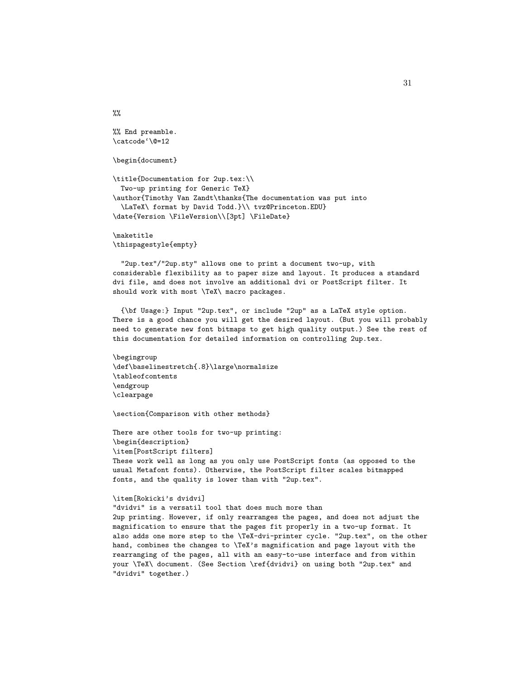%% End preamble. \catcode'\@=12

%%

\begin{document}

```
\title{Documentation for 2up.tex:\\
 Two-up printing for Generic TeX}
\author{Timothy Van Zandt\thanks{The documentation was put into
  \LaTeX\ format by David Todd.}\\ tvz@Princeton.EDU}
\date{Version \FileVersion\\[3pt] \FileDate}
```
\maketitle \thispagestyle{empty}

"2up.tex"/"2up.sty" allows one to print a document two-up, with considerable flexibility as to paper size and layout. It produces a standard dvi file, and does not involve an additional dvi or PostScript filter. It should work with most \TeX\ macro packages.

{\bf Usage:} Input "2up.tex", or include "2up" as a LaTeX style option. There is a good chance you will get the desired layout. (But you will probably need to generate new font bitmaps to get high quality output.) See the rest of this documentation for detailed information on controlling 2up.tex.

\begingroup \def\baselinestretch{.8}\large\normalsize \tableofcontents \endgroup \clearpage

\section{Comparison with other methods}

There are other tools for two-up printing: \begin{description} \item[PostScript filters] These work well as long as you only use PostScript fonts (as opposed to the usual Metafont fonts). Otherwise, the PostScript filter scales bitmapped fonts, and the quality is lower than with "2up.tex".

#### \item[Rokicki's dvidvi]

"dvidvi" is a versatil tool that does much more than 2up printing. However, if only rearranges the pages, and does not adjust the magnification to ensure that the pages fit properly in a two-up format. It also adds one more step to the \TeX-dvi-printer cycle. "2up.tex", on the other hand, combines the changes to \TeX's magnification and page layout with the rearranging of the pages, all with an easy-to-use interface and from within your \TeX\ document. (See Section \ref{dvidvi} on using both "2up.tex" and "dvidvi" together.)

31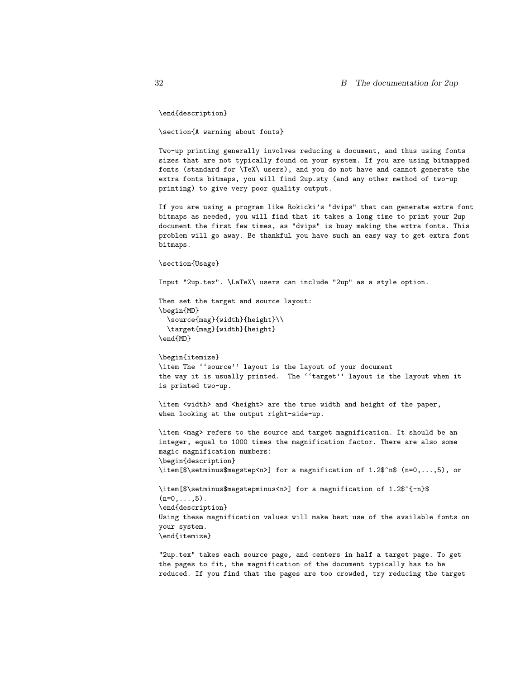\end{description}

\section{A warning about fonts}

Two-up printing generally involves reducing a document, and thus using fonts sizes that are not typically found on your system. If you are using bitmapped fonts (standard for \TeX\ users), and you do not have and cannot generate the extra fonts bitmaps, you will find 2up.sty (and any other method of two-up printing) to give very poor quality output.

If you are using a program like Rokicki's "dvips" that can generate extra font bitmaps as needed, you will find that it takes a long time to print your 2up document the first few times, as "dvips" is busy making the extra fonts. This problem will go away. Be thankful you have such an easy way to get extra font bitmaps.

\section{Usage}

Input "2up.tex". \LaTeX\ users can include "2up" as a style option.

Then set the target and source layout: \begin{MD} \source{mag}{width}{height}\\ \target{mag}{width}{height} \end{MD}

\begin{itemize} \item The ''source'' layout is the layout of your document the way it is usually printed. The ''target'' layout is the layout when it is printed two-up.

\item <width> and <height> are the true width and height of the paper, when looking at the output right-side-up.

\item <mag> refers to the source and target magnification. It should be an integer, equal to 1000 times the magnification factor. There are also some magic magnification numbers: \begin{description} \item[\$\setminus\$magstep<n>] for a magnification of 1.2\$^n\$ (n=0,...,5), or

\item[\$\setminus\$magstepminus<n>] for a magnification of 1.2\$^{-n}\$  $(n=0,\ldots,5)$ . \end{description} Using these magnification values will make best use of the available fonts on your system. \end{itemize}

"2up.tex" takes each source page, and centers in half a target page. To get the pages to fit, the magnification of the document typically has to be reduced. If you find that the pages are too crowded, try reducing the target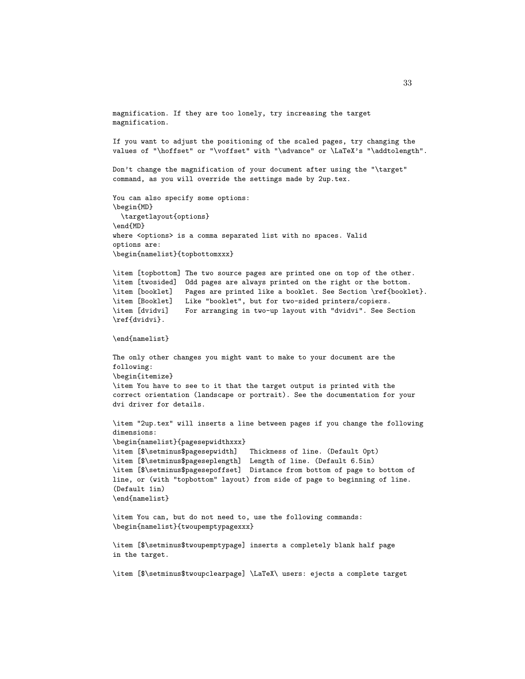magnification. If they are too lonely, try increasing the target magnification. If you want to adjust the positioning of the scaled pages, try changing the values of "\hoffset" or "\voffset" with "\advance" or \LaTeX's "\addtolength". Don't change the magnification of your document after using the "\target" command, as you will override the settings made by 2up.tex. You can also specify some options: \begin{MD} \targetlayout{options} \end{MD} where <options> is a comma separated list with no spaces. Valid options are: \begin{namelist}{topbottomxxx} \item [topbottom] The two source pages are printed one on top of the other. \item [twosided] Odd pages are always printed on the right or the bottom. \item [booklet] Pages are printed like a booklet. See Section \ref{booklet}. \item [Booklet] Like "booklet", but for two-sided printers/copiers. \item [dvidvi] For arranging in two-up layout with "dvidvi". See Section \ref{dvidvi}. \end{namelist} The only other changes you might want to make to your document are the following: \begin{itemize} \item You have to see to it that the target output is printed with the correct orientation (landscape or portrait). See the documentation for your dvi driver for details. \item "2up.tex" will inserts a line between pages if you change the following dimensions: \begin{namelist}{pagesepwidthxxx} \item [\$\setminus\$pagesepwidth] Thickness of line. (Default 0pt) \item [\$\setminus\$pageseplength] Length of line. (Default 6.5in) \item [\$\setminus\$pagesepoffset] Distance from bottom of page to bottom of line, or (with "topbottom" layout) from side of page to beginning of line. (Default 1in) \end{namelist} \item You can, but do not need to, use the following commands: \begin{namelist}{twoupemptypagexxx} \item [\$\setminus\$twoupemptypage] inserts a completely blank half page in the target.

\item [\$\setminus\$twoupclearpage] \LaTeX\ users: ejects a complete target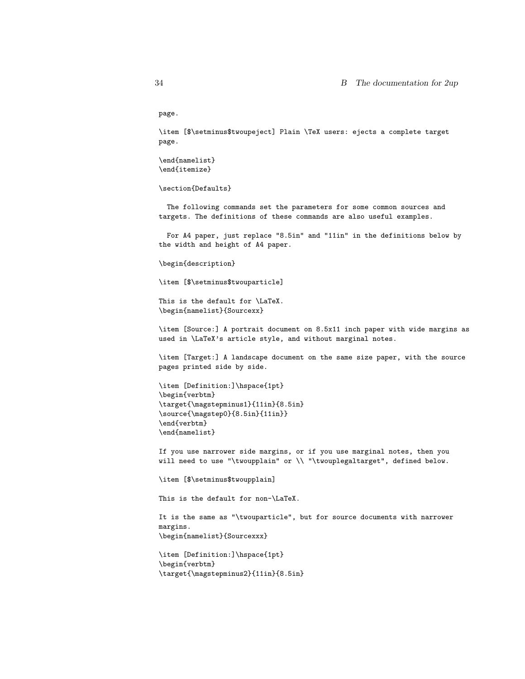page.

\item [\$\setminus\$twoupeject] Plain \TeX users: ejects a complete target page.

\end{namelist} \end{itemize}

\section{Defaults}

The following commands set the parameters for some common sources and targets. The definitions of these commands are also useful examples.

For A4 paper, just replace "8.5in" and "11in" in the definitions below by the width and height of A4 paper.

\begin{description}

\item [\$\setminus\$twouparticle]

This is the default for \LaTeX. \begin{namelist}{Sourcexx}

\item [Source:] A portrait document on 8.5x11 inch paper with wide margins as used in \LaTeX's article style, and without marginal notes.

\item [Target:] A landscape document on the same size paper, with the source pages printed side by side.

\item [Definition:]\hspace{1pt} \begin{verbtm} \target{\magstepminus1}{11in}{8.5in} \source{\magstep0}{8.5in}{11in}} \end{verbtm} \end{namelist}

If you use narrower side margins, or if you use marginal notes, then you will need to use "\twoupplain" or \\ "\twouplegaltarget", defined below.

\item [\$\setminus\$twoupplain]

This is the default for non-\LaTeX.

It is the same as "\twouparticle", but for source documents with narrower margins. \begin{namelist}{Sourcexxx}

\item [Definition:]\hspace{1pt} \begin{verbtm} \target{\magstepminus2}{11in}{8.5in}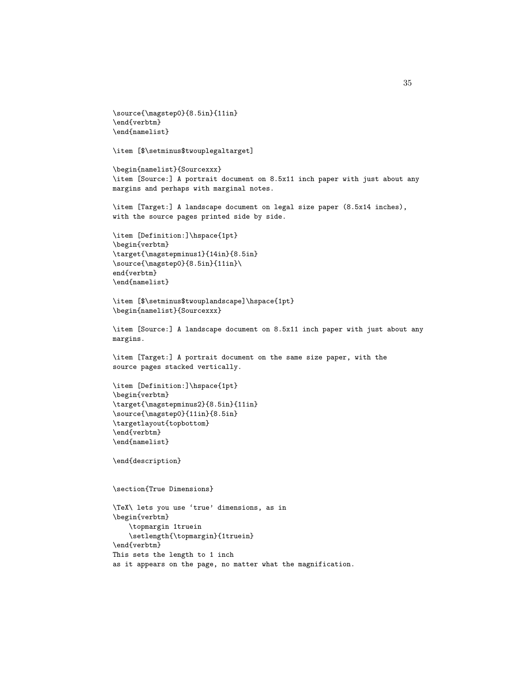```
\source{\magstep0}{8.5in}{11in}
\end{verbtm}
\end{namelist}
```
\item [\$\setminus\$twouplegaltarget]

\begin{namelist}{Sourcexxx} \item [Source:] A portrait document on 8.5x11 inch paper with just about any margins and perhaps with marginal notes.

\item [Target:] A landscape document on legal size paper (8.5x14 inches), with the source pages printed side by side.

```
\item [Definition:]\hspace{1pt}
\begin{verbtm}
\target{\magstepminus1}{14in}{8.5in}
\source{\magstep0}{8.5in}{11in}\
end{verbtm}
\end{namelist}
```

```
\item [$\setminus$twouplandscape]\hspace{1pt}
\begin{namelist}{Sourcexxx}
```
\item [Source:] A landscape document on 8.5x11 inch paper with just about any margins.

```
\item [Target:] A portrait document on the same size paper, with the
source pages stacked vertically.
```

```
\item [Definition:]\hspace{1pt}
\begin{verbtm}
\target{\magstepminus2}{8.5in}{11in}
\source{\magstep0}{11in}{8.5in}
\targetlayout{topbottom}
\end{verbtm}
\end{namelist}
```
\end{description}

\section{True Dimensions}

```
\TeX\ lets you use 'true' dimensions, as in
\begin{verbtm}
    \topmargin 1truein
    \setlength{\topmargin}{1truein}
\end{verbtm}
This sets the length to 1 inch
as it appears on the page, no matter what the magnification.
```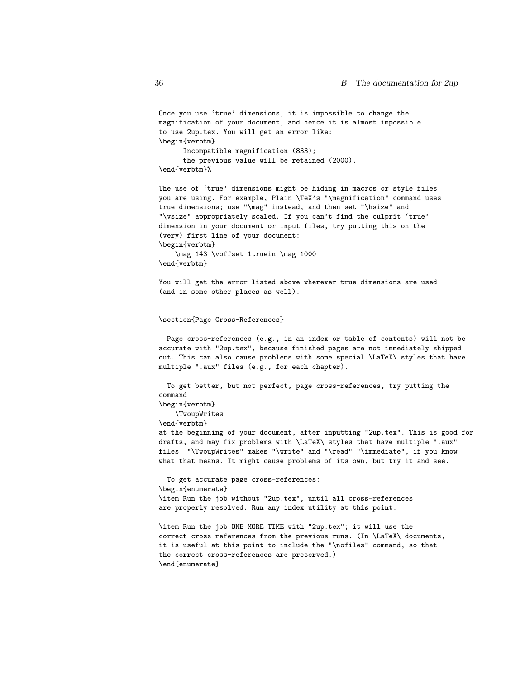```
Once you use 'true' dimensions, it is impossible to change the
magnification of your document, and hence it is almost impossible
to use 2up.tex. You will get an error like:
\begin{verbtm}
    ! Incompatible magnification (833);
      the previous value will be retained (2000).
\end{verbtm}%
```
The use of 'true' dimensions might be hiding in macros or style files you are using. For example, Plain \TeX's "\magnification" command uses true dimensions; use "\mag" instead, and then set "\hsize" and "\vsize" appropriately scaled. If you can't find the culprit 'true' dimension in your document or input files, try putting this on the (very) first line of your document: \begin{verbtm} \mag 143 \voffset 1truein \mag 1000

\end{verbtm}

You will get the error listed above wherever true dimensions are used (and in some other places as well).

#### \section{Page Cross-References}

Page cross-references (e.g., in an index or table of contents) will not be accurate with "2up.tex", because finished pages are not immediately shipped out. This can also cause problems with some special \LaTeX\ styles that have multiple ".aux" files (e.g., for each chapter).

To get better, but not perfect, page cross-references, try putting the command

\begin{verbtm}

\TwoupWrites

\end{verbtm}

at the beginning of your document, after inputting "2up.tex". This is good for drafts, and may fix problems with \LaTeX\ styles that have multiple ".aux" files. "\TwoupWrites" makes "\write" and "\read" "\immediate", if you know what that means. It might cause problems of its own, but try it and see.

To get accurate page cross-references: \begin{enumerate} \item Run the job without "2up.tex", until all cross-references are properly resolved. Run any index utility at this point.

\item Run the job ONE MORE TIME with "2up.tex"; it will use the correct cross-references from the previous runs. (In \LaTeX\ documents, it is useful at this point to include the "\nofiles" command, so that the correct cross-references are preserved.) \end{enumerate}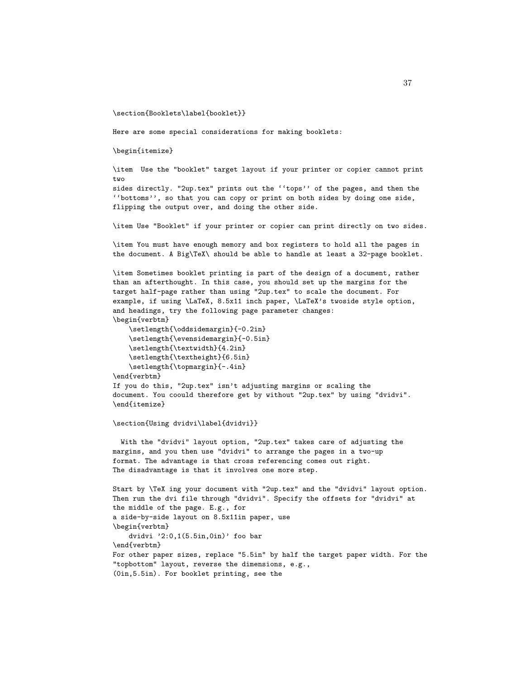\section{Booklets\label{booklet}}

Here are some special considerations for making booklets:

\begin{itemize}

\item Use the "booklet" target layout if your printer or copier cannot print two

sides directly. "2up.tex" prints out the ''tops'' of the pages, and then the ''bottoms'', so that you can copy or print on both sides by doing one side, flipping the output over, and doing the other side.

\item Use "Booklet" if your printer or copier can print directly on two sides.

\item You must have enough memory and box registers to hold all the pages in the document. A Big\TeX\ should be able to handle at least a 32-page booklet.

\item Sometimes booklet printing is part of the design of a document, rather than an afterthought. In this case, you should set up the margins for the target half-page rather than using "2up.tex" to scale the document. For example, if using \LaTeX, 8.5x11 inch paper, \LaTeX's twoside style option, and headings, try the following page parameter changes: \begin{verbtm}

\setlength{\oddsidemargin}{-0.2in} \setlength{\evensidemargin}{-0.5in} \setlength{\textwidth}{4.2in} \setlength{\textheight}{6.5in} \setlength{\topmargin}{-.4in}

\end{verbtm} If you do this, "2up.tex" isn't adjusting margins or scaling the document. You coould therefore get by without "2up.tex" by using "dvidvi". \end{itemize}

\section{Using dvidvi\label{dvidvi}}

With the "dvidvi" layout option, "2up.tex" takes care of adjusting the margins, and you then use "dvidvi" to arrange the pages in a two-up format. The advantage is that cross referencing comes out right. The disadvantage is that it involves one more step.

Start by \TeX ing your document with "2up.tex" and the "dvidvi" layout option. Then run the dvi file through "dvidvi". Specify the offsets for "dvidvi" at the middle of the page. E.g., for a side-by-side layout on 8.5x11in paper, use \begin{verbtm} dvidvi '2:0,1(5.5in,0in)' foo bar \end{verbtm} For other paper sizes, replace "5.5in" by half the target paper width. For the "topbottom" layout, reverse the dimensions, e.g., (0in,5.5in). For booklet printing, see the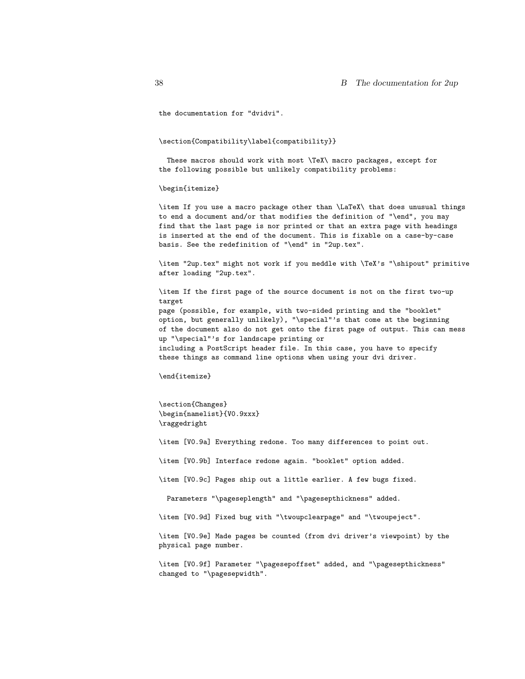the documentation for "dvidvi".

#### \section{Compatibility\label{compatibility}}

These macros should work with most \TeX\ macro packages, except for the following possible but unlikely compatibility problems:

#### \begin{itemize}

\item If you use a macro package other than \LaTeX\ that does unusual things to end a document and/or that modifies the definition of "\end", you may find that the last page is nor printed or that an extra page with headings is inserted at the end of the document. This is fixable on a case-by-case basis. See the redefinition of "\end" in "2up.tex".

\item "2up.tex" might not work if you meddle with \TeX's "\shipout" primitive after loading "2up.tex".

\item If the first page of the source document is not on the first two-up target page (possible, for example, with two-sided printing and the "booklet" option, but generally unlikely), "\special"'s that come at the beginning of the document also do not get onto the first page of output. This can mess up "\special"'s for landscape printing or including a PostScript header file. In this case, you have to specify these things as command line options when using your dvi driver.

\end{itemize}

\section{Changes} \begin{namelist}{V0.9xxx} \raggedright

\item [V0.9a] Everything redone. Too many differences to point out.

\item [V0.9b] Interface redone again. "booklet" option added.

\item [V0.9c] Pages ship out a little earlier. A few bugs fixed.

Parameters "\pageseplength" and "\pagesepthickness" added.

\item [V0.9d] Fixed bug with "\twoupclearpage" and "\twoupeject".

\item [V0.9e] Made pages be counted (from dvi driver's viewpoint) by the physical page number.

\item [V0.9f] Parameter "\pagesepoffset" added, and "\pagesepthickness" changed to "\pagesepwidth".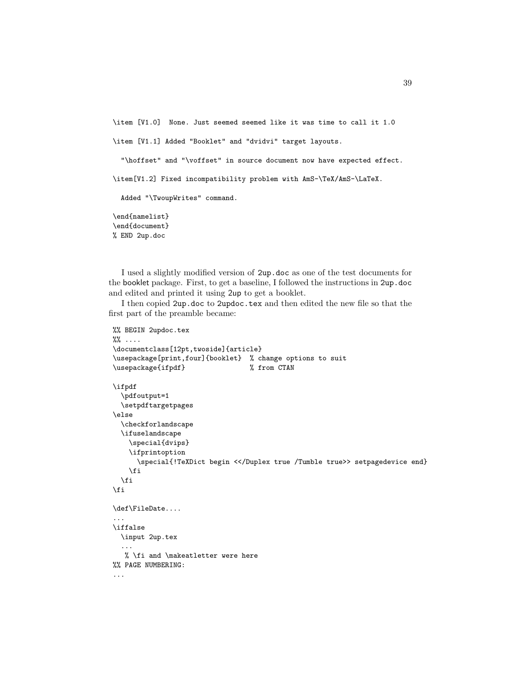```
\item [V1.0] None. Just seemed seemed like it was time to call it 1.0
\item [V1.1] Added "Booklet" and "dvidvi" target layouts.
  "\hoffset" and "\voffset" in source document now have expected effect.
\item[V1.2] Fixed incompatibility problem with AmS-\TeX/AmS-\LaTeX.
  Added "\TwoupWrites" command.
\end{namelist}
\end{document}
% END 2up.doc
```
I used a slightly modified version of 2up.doc as one of the test documents for the booklet package. First, to get a baseline, I followed the instructions in 2up.doc and edited and printed it using 2up to get a booklet.

I then copied 2up.doc to 2updoc.tex and then edited the new file so that the first part of the preamble became:

```
%% BEGIN 2updoc.tex
\frac{1}{2}% ....
\documentclass[12pt,twoside]{article}
\usepackage[print,four]{booklet} % change options to suit
\usepackage{ifpdf} % from CTAN
\ifpdf
  \pdfoutput=1
  \setpdftargetpages
\else
  \checkforlandscape
  \ifuselandscape
    \special{dvips}
    \ifprintoption
      \special{!TeXDict begin <</Duplex true /Tumble true>> setpagedevice end}
    \fi
  \fi
\fi
\def\FileDate....
...
\iffalse
  \input 2up.tex
  ...
  % \fi and \makeatletter were here
%% PAGE NUMBERING:
...
```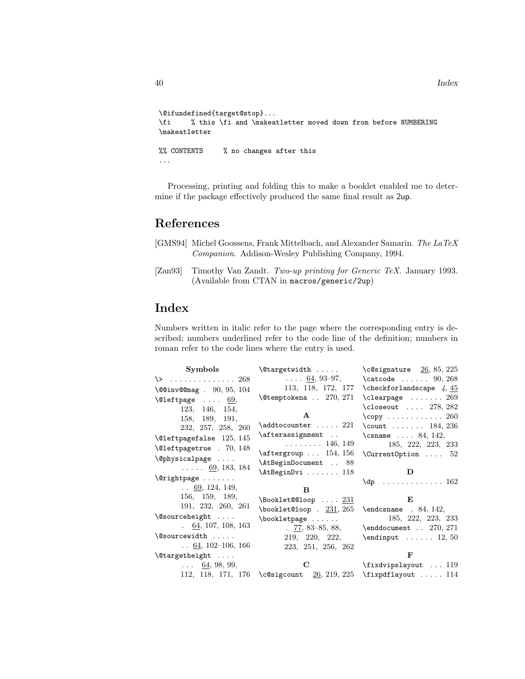```
\@ifundefined{target@stop}...
\fi % this \fi and \makeatletter moved down from before NUMBERING
\makeatletter
%% CONTENTS % no changes after this
...
```
Processing, printing and folding this to make a booklet enabled me to determine if the package effectively produced the same final result as 2up.

## References

- <span id="page-39-1"></span>[GMS94] Michel Goossens, Frank Mittelbach, and Alexander Samarin. The LaTeX Companion. Addison-Wesley Publishing Company, 1994.
- <span id="page-39-0"></span>[Zan93] Timothy Van Zandt. Two-up printing for Generic TeX. January 1993. (Available from CTAN in macros/generic/2up)

## Index

Numbers written in italic refer to the page where the corresponding entry is described; numbers underlined refer to the code line of the definition; numbers in roman refer to the code lines where the entry is used.

| Symbols                                 | $\text{Outargetwidth} \dots$                                            | $\text{C0}\$ $26, 85, 225$                     |
|-----------------------------------------|-------------------------------------------------------------------------|------------------------------------------------|
| $\setminus$ 268                         |                                                                         | $\ldots$ 64, 93-97, $\ldots$ (catcode  90, 268 |
| $\sqrt{00}$ inv $00$ mag. $90, 95, 104$ |                                                                         | 113, 118, 172, 177 \checkforlandscape $4, 45$  |
| $\text{Qleftpage} \dots 69,$            | $\text{\textbackslash}$ Ctemptokena $270, 271$                          | $\text{Clearpage} \dots 269$                   |
| 123, 146, 154,                          |                                                                         | $\text{Closecut} \dots 278, 282$               |
| 158, 189, 191,                          | $\mathbf{A}$                                                            | $\text{copy} \dots \dots \dots \dots \ 260$    |
| 232, 257, 258, 260                      | $\addtocounter \dots 221$                                               | \count $184, 236$                              |
| $\text{Qleft}$ and $125, 145$           | \afterassignment                                                        | \csname $\ldots$ 84, 142,                      |
| $\text{Qleft}$ . 70, 148                | $\ldots \ldots \ldots 146, 149$                                         | 185, 222, 223, 233                             |
|                                         | $\text{Aftergroup} \dots 154, 156$                                      | $\Upsilon$ Current Option  52                  |
| \@physicalpage                          | \AtBeginDocument  88                                                    |                                                |
| $\ldots$ 69, 183, 184                   | $\Lambda t$ BeginDvi  118                                               | D                                              |
| $\sqrt{8}$ rightpage                    |                                                                         | $\qquad$ 162                                   |
| $\ldots$ 69, 124, 149,                  | в                                                                       |                                                |
| 156, 159, 189,                          | $\backslash$ Booklet@@loop $231$                                        | E                                              |
| 191, 232, 260, 261                      | $\boldsymbol{\lambda}$ \booklet@loop . $231, 265$ \endcsname . 84, 142, |                                                |
| $\Diamond$ sourceheight                 | $\boldsymbol{\lambda}$                                                  | 185, 222, 223, 233                             |
| $\,64, 107, 108, 163$                   |                                                                         | . $77, 83-85, 88,$ \enddocument $270, 271$     |
| \@sourcewidth                           | 219, 220, 222,                                                          | $\end{input}$ 12, 50                           |
| $\ldots$ 64, 102-106, 166               | 223, 251, 256, 262                                                      |                                                |
| $\{\mathcal{C}$ targetheight            |                                                                         | F                                              |
| $\ldots$ 64, 98, 99,                    |                                                                         |                                                |
|                                         | 112, 118, 171, 176 \c@sigcount $26$ , 219, 225 \fixpdflayout  114       |                                                |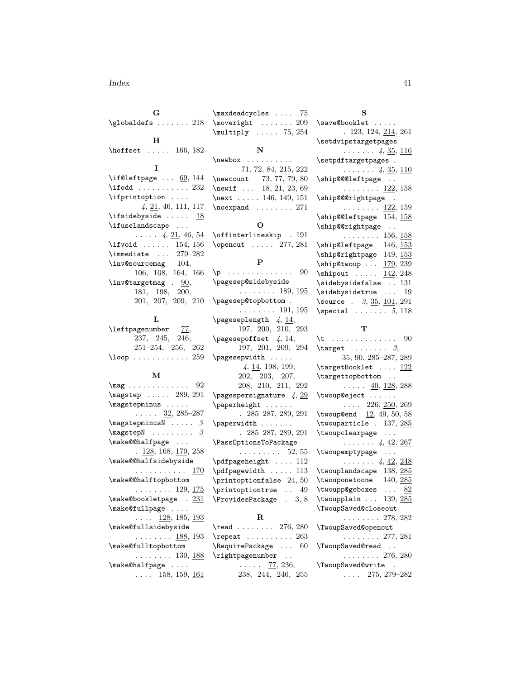#### Index 41

G \globaldefs . . . . . . . 218 H \hoffset ..... 166, 182 I  $\iint@leftpage... 69, 144$ \ifodd .......... 232 \ifprintoption . . . . 4, 21, 46, 111, 117 \ifsidebyside .....  $18$ \ifuselandscape ...  $\ldots$  4, 21, 46, 54 \ifvoid ...... 154, 156  $\verb|\immediate ... 279-282|$ \inv@sourcemag 104, 106, 108, 164, 166 \inv@targetmag . 90, 181, 198, 200, 201, 207, 209, 210

#### L

| \leftpagenumber |  | 77,                         |  |
|-----------------|--|-----------------------------|--|
|                 |  | 237, 245, 246,              |  |
|                 |  | $251 - 254$ , $256$ , $262$ |  |
| \loop $259$     |  |                             |  |

#### M

| $\text{mag}$ 92                           |
|-------------------------------------------|
| \magstep  289, 291                        |
| \magstepminus                             |
| $\cdots$ $\frac{32}{2}, 285 - 287$        |
| $\texttt{magstepminusN}$ 3                |
| $\mbox{magstepN}$<br>3                    |
| \make@@halfpage                           |
| $\frac{128}{128}$ , 168, <u>170</u> , 258 |
| \make@@halfsidebyside                     |
| . <u>170</u>                              |
| \make@@halftopbottom                      |
| $\ldots \ldots 129, 175$                  |
| \make@bookletpage . 231                   |
| \make@fullpage                            |
| $\ldots$ 128, 185, 193                    |
| \make@fullsidebyside                      |
| . <u>188,</u> 193                         |
| \make@fulltopbottom                       |
| $\ldots \ldots 130, 188$                  |
| \make@halfpage                            |
| $\ldots$ 158, 159, <u>16</u> 1            |

\maxdeadcycles .... 75 \moveright . . . . . . . 209 \multiply . . . . . 75, 254 N \newbox . . . . . . . . . . 71, 72, 84, 215, 222 \newcount 73, 77, 79, 80 \newif ... 18, 21, 23, 69 \next . . . . . 146, 149, 151 \noexpand . . . . . . . . 271 O \offinterlineskip . 191 \openout . . . . . 277, 281 P \p . . . . . . . . . . . . . . 90 \pagesep@sidebyside  $\ldots \ldots 189, 195$ \pagesep@topbottom .  $\ldots \ldots 191, 195$  $\text{pageseplength}$  4,  $\frac{14}{1}$ , 197, 200, 210, 293  $\text{pagesepoffset } 4, 14,$ 197, 201, 209, 294 \pagesepwidth . . . . . 4, 14, 198, 199, 202, 203, 207, 208, 210, 211, 292 \pagespersignature  $4, 29$ \paperheight . . . . . . . 285–287, 289, 291 \paperwidth . . . . . . . . 285–287, 289, 291 \PassOptionsToPackage . . . . . . . . . 52, 55 \pdfpageheight .... 112 \pdfpagewidth . . . . . 113 \printoptionfalse 24, 50 \printoptiontrue . . 49 \ProvidesPackage . 3, 8 R

### \read . . . . . . . 276, 280 \repeat . . . . . . . . . . 263 \RequirePackage . . . 60 \rightpagenumber ..  $\ldots$  . 77, 236, 238, 244, 246, 255

| s                                        |
|------------------------------------------|
| \save@booklet                            |
| . 123, 124, 214, 261                     |
| \setdvipstargetpages                     |
| . 4, <u>35, 116</u>                      |
| \setpdftargetpages.                      |
| . 4, <u>35, 110</u>                      |
| \ship@@@leftpage                         |
| $\ldots \ldots \ldots \frac{122}{158}$   |
| \ship@@@rightpage .                      |
| $\ldots \ldots \ldots 122, 159$          |
| \ship@@leftpage 154, 158                 |
| \ship@@rightpage                         |
| $\ldots \ldots 156, 158$                 |
| \ship@leftpage 146, 153                  |
| \ship@rightpage 149, 153                 |
| $\binom{179}{39}$                        |
| 142, 248<br>\shipout                     |
| \sidebysidefalse  131                    |
| $\ldots$ 19<br>\sidebysidetrue           |
| \source . $3, 35, 101, 291$              |
| $\text{Special} \dots \dots 5, 118$      |
|                                          |
| т                                        |
| 90<br>\t.                                |
| $\text{target}$ 3,                       |
| $35, 90, 285 - 287, 289$                 |
| $\verb+\targetBooklet   \underline{122}$ |
| \targettopbottom                         |
| $\ldots$ 40, 128, 288                    |
| \twoup@eject                             |

\twoup@eject . . . . . .  $\ldots$  226, 250, 269 \twoup@end 12, 49, 50, 58 \twouparticle . 137, 285 \twoupclearpage . . .  $\ldots \ldots 4, \underline{42}, \underline{267}$ \twoupemptypage . . .  $\ldots$  . . . . . 4,  $42, 248$ \twouplandscape 138, 285 \twouponetoone 140, 285 \twoupp@geboxes  $\ldots$  82 \twoupplain . . . 139, 285 \TwoupSaved@closeout . . . . . . . . 278, 282 \TwoupSaved@openout . . . . . . . . 277, 281 \TwoupSaved@read . . . . . . . . . . 276, 280 \TwoupSaved@write . . . . . 275, 279–282